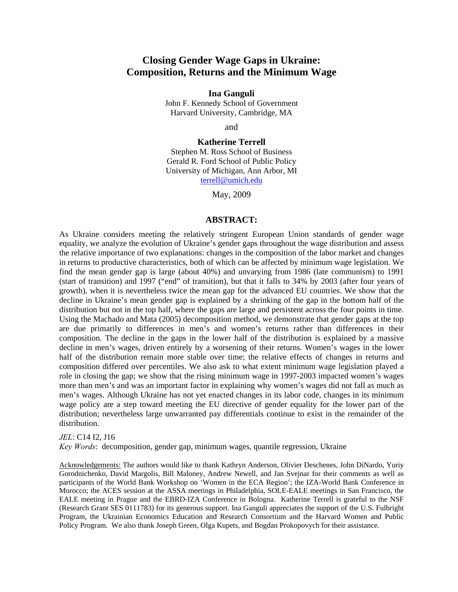# **Closing Gender Wage Gaps in Ukraine: Composition, Returns and the Minimum Wage**

#### **Ina Ganguli**

John F. Kennedy School of Government Harvard University, Cambridge, MA

and

#### **Katherine Terrell**

Stephen M. Ross School of Business Gerald R. Ford School of Public Policy University of Michigan, Ann Arbor, MI terrell@umich.edu

May, 2009

#### **ABSTRACT:**

As Ukraine considers meeting the relatively stringent European Union standards of gender wage equality, we analyze the evolution of Ukraine's gender gaps throughout the wage distribution and assess the relative importance of two explanations: changes in the composition of the labor market and changes in returns to productive characteristics, both of which can be affected by minimum wage legislation. We find the mean gender gap is large (about 40%) and unvarying from 1986 (late communism) to 1991 (start of transition) and 1997 ("end" of transition), but that it falls to 34% by 2003 (after four years of growth), when it is nevertheless twice the mean gap for the advanced EU countries. We show that the decline in Ukraine's mean gender gap is explained by a shrinking of the gap in the bottom half of the distribution but not in the top half, where the gaps are large and persistent across the four points in time. Using the Machado and Mata (2005) decomposition method, we demonstrate that gender gaps at the top are due primarily to differences in men's and women's returns rather than differences in their composition. The decline in the gaps in the lower half of the distribution is explained by a massive decline in men's wages, driven entirely by a worsening of their returns. Women's wages in the lower half of the distribution remain more stable over time; the relative effects of changes in returns and composition differed over percentiles. We also ask to what extent minimum wage legislation played a role in closing the gap; we show that the rising minimum wage in 1997-2003 impacted women's wages more than men's and was an important factor in explaining why women's wages did not fall as much as men's wages. Although Ukraine has not yet enacted changes in its labor code, changes in its minimum wage policy are a step toward meeting the EU directive of gender equality for the lower part of the distribution; nevertheless large unwarranted pay differentials continue to exist in the remainder of the distribution.

*JEL*: C14 I2, J16

*Key Words*: decomposition, gender gap, minimum wages, quantile regression, Ukraine

Acknowledgements: The authors would like to thank Kathryn Anderson, Olivier Deschenes, John DiNardo, Yuriy Gorodnichenko, David Margolis, Bill Maloney, Andrew Newell, and Jan Svejnar for their comments as well as participants of the World Bank Workshop on 'Women in the ECA Region'; the IZA-World Bank Conference in Morocco; the ACES session at the ASSA meetings in Philadelphia, SOLE-EALE meetings in San Francisco, the EALE meeting in Prague and the EBRD-IZA Conference in Bologna. Katherine Terrell is grateful to the NSF (Research Grant SES 0111783) for its generous support. Ina Ganguli appreciates the support of the U.S. Fulbright Program, the Ukrainian Economics Education and Research Consortium and the Harvard Women and Public Policy Program. We also thank Joseph Green, Olga Kupets, and Bogdan Prokopovych for their assistance.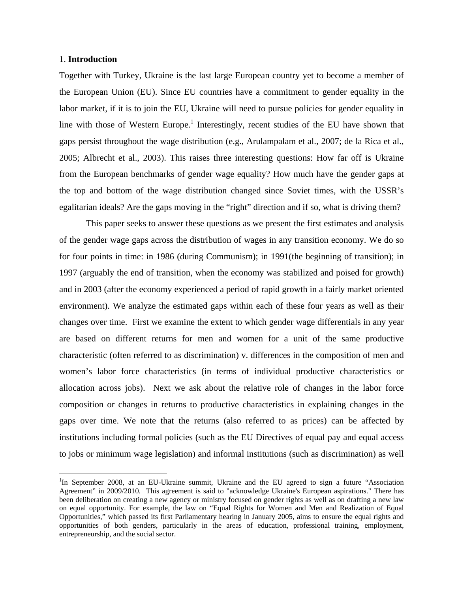### 1. **Introduction**

 $\overline{a}$ 

Together with Turkey, Ukraine is the last large European country yet to become a member of the European Union (EU). Since EU countries have a commitment to gender equality in the labor market, if it is to join the EU, Ukraine will need to pursue policies for gender equality in line with those of Western Europe.<sup>1</sup> Interestingly, recent studies of the EU have shown that gaps persist throughout the wage distribution (e.g., Arulampalam et al., 2007; de la Rica et al., 2005; Albrecht et al., 2003). This raises three interesting questions: How far off is Ukraine from the European benchmarks of gender wage equality? How much have the gender gaps at the top and bottom of the wage distribution changed since Soviet times, with the USSR's egalitarian ideals? Are the gaps moving in the "right" direction and if so, what is driving them?

This paper seeks to answer these questions as we present the first estimates and analysis of the gender wage gaps across the distribution of wages in any transition economy. We do so for four points in time: in 1986 (during Communism); in 1991(the beginning of transition); in 1997 (arguably the end of transition, when the economy was stabilized and poised for growth) and in 2003 (after the economy experienced a period of rapid growth in a fairly market oriented environment). We analyze the estimated gaps within each of these four years as well as their changes over time. First we examine the extent to which gender wage differentials in any year are based on different returns for men and women for a unit of the same productive characteristic (often referred to as discrimination) v. differences in the composition of men and women's labor force characteristics (in terms of individual productive characteristics or allocation across jobs). Next we ask about the relative role of changes in the labor force composition or changes in returns to productive characteristics in explaining changes in the gaps over time. We note that the returns (also referred to as prices) can be affected by institutions including formal policies (such as the EU Directives of equal pay and equal access to jobs or minimum wage legislation) and informal institutions (such as discrimination) as well

<sup>&</sup>lt;sup>1</sup>In September 2008, at an EU-Ukraine summit, Ukraine and the EU agreed to sign a future "Association" Agreement" in 2009/2010. This agreement is said to "acknowledge Ukraine's European aspirations." There has been deliberation on creating a new agency or ministry focused on gender rights as well as on drafting a new law on equal opportunity. For example, the law on "Equal Rights for Women and Men and Realization of Equal Opportunities," which passed its first Parliamentary hearing in January 2005, aims to ensure the equal rights and opportunities of both genders, particularly in the areas of education, professional training, employment, entrepreneurship, and the social sector.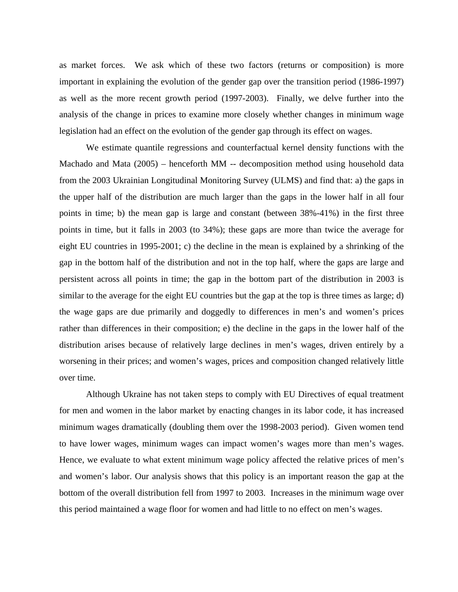as market forces. We ask which of these two factors (returns or composition) is more important in explaining the evolution of the gender gap over the transition period (1986-1997) as well as the more recent growth period (1997-2003). Finally, we delve further into the analysis of the change in prices to examine more closely whether changes in minimum wage legislation had an effect on the evolution of the gender gap through its effect on wages.

We estimate quantile regressions and counterfactual kernel density functions with the Machado and Mata (2005) – henceforth MM -- decomposition method using household data from the 2003 Ukrainian Longitudinal Monitoring Survey (ULMS) and find that: a) the gaps in the upper half of the distribution are much larger than the gaps in the lower half in all four points in time; b) the mean gap is large and constant (between 38%-41%) in the first three points in time, but it falls in 2003 (to 34%); these gaps are more than twice the average for eight EU countries in 1995-2001; c) the decline in the mean is explained by a shrinking of the gap in the bottom half of the distribution and not in the top half, where the gaps are large and persistent across all points in time; the gap in the bottom part of the distribution in 2003 is similar to the average for the eight EU countries but the gap at the top is three times as large; d) the wage gaps are due primarily and doggedly to differences in men's and women's prices rather than differences in their composition; e) the decline in the gaps in the lower half of the distribution arises because of relatively large declines in men's wages, driven entirely by a worsening in their prices; and women's wages, prices and composition changed relatively little over time.

Although Ukraine has not taken steps to comply with EU Directives of equal treatment for men and women in the labor market by enacting changes in its labor code, it has increased minimum wages dramatically (doubling them over the 1998-2003 period). Given women tend to have lower wages, minimum wages can impact women's wages more than men's wages. Hence, we evaluate to what extent minimum wage policy affected the relative prices of men's and women's labor. Our analysis shows that this policy is an important reason the gap at the bottom of the overall distribution fell from 1997 to 2003. Increases in the minimum wage over this period maintained a wage floor for women and had little to no effect on men's wages.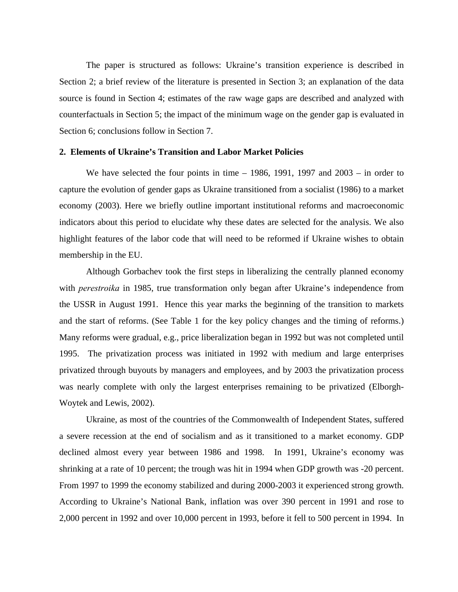The paper is structured as follows: Ukraine's transition experience is described in Section 2; a brief review of the literature is presented in Section 3; an explanation of the data source is found in Section 4; estimates of the raw wage gaps are described and analyzed with counterfactuals in Section 5; the impact of the minimum wage on the gender gap is evaluated in Section 6; conclusions follow in Section 7.

### **2. Elements of Ukraine's Transition and Labor Market Policies**

We have selected the four points in time  $-1986$ , 1991, 1997 and 2003  $-$  in order to capture the evolution of gender gaps as Ukraine transitioned from a socialist (1986) to a market economy (2003). Here we briefly outline important institutional reforms and macroeconomic indicators about this period to elucidate why these dates are selected for the analysis. We also highlight features of the labor code that will need to be reformed if Ukraine wishes to obtain membership in the EU.

Although Gorbachev took the first steps in liberalizing the centrally planned economy with *perestroika* in 1985, true transformation only began after Ukraine's independence from the USSR in August 1991. Hence this year marks the beginning of the transition to markets and the start of reforms. (See Table 1 for the key policy changes and the timing of reforms.) Many reforms were gradual, e.g., price liberalization began in 1992 but was not completed until 1995. The privatization process was initiated in 1992 with medium and large enterprises privatized through buyouts by managers and employees, and by 2003 the privatization process was nearly complete with only the largest enterprises remaining to be privatized (Elborgh-Woytek and Lewis, 2002).

Ukraine, as most of the countries of the Commonwealth of Independent States, suffered a severe recession at the end of socialism and as it transitioned to a market economy. GDP declined almost every year between 1986 and 1998. In 1991, Ukraine's economy was shrinking at a rate of 10 percent; the trough was hit in 1994 when GDP growth was -20 percent. From 1997 to 1999 the economy stabilized and during 2000-2003 it experienced strong growth. According to Ukraine's National Bank, inflation was over 390 percent in 1991 and rose to 2,000 percent in 1992 and over 10,000 percent in 1993, before it fell to 500 percent in 1994. In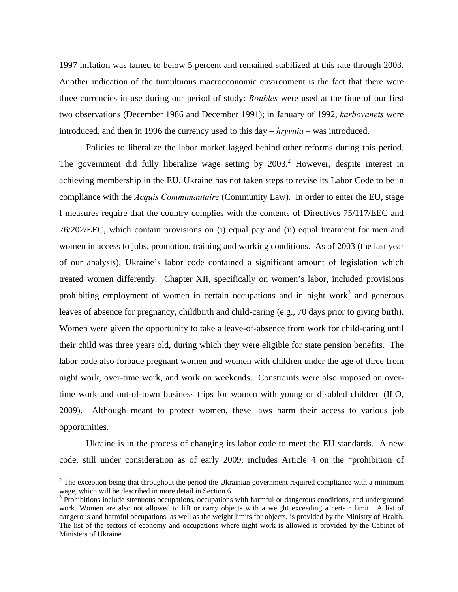1997 inflation was tamed to below 5 percent and remained stabilized at this rate through 2003. Another indication of the tumultuous macroeconomic environment is the fact that there were three currencies in use during our period of study: *Roubles* were used at the time of our first two observations (December 1986 and December 1991); in January of 1992, *karbovanets* were introduced, and then in 1996 the currency used to this day – *hryvnia –* was introduced.

Policies to liberalize the labor market lagged behind other reforms during this period. The government did fully liberalize wage setting by  $2003$ .<sup>2</sup> However, despite interest in achieving membership in the EU, Ukraine has not taken steps to revise its Labor Code to be in compliance with the *Acquis Communautaire* (Community Law). In order to enter the EU, stage I measures require that the country complies with the contents of Directives 75/117/EEC and 76/202/EEC, which contain provisions on (i) equal pay and (ii) equal treatment for men and women in access to jobs, promotion, training and working conditions. As of 2003 (the last year of our analysis), Ukraine's labor code contained a significant amount of legislation which treated women differently. Chapter XII, specifically on women's labor, included provisions prohibiting employment of women in certain occupations and in night work<sup>3</sup> and generous leaves of absence for pregnancy, childbirth and child-caring (e.g., 70 days prior to giving birth). Women were given the opportunity to take a leave-of-absence from work for child-caring until their child was three years old, during which they were eligible for state pension benefits. The labor code also forbade pregnant women and women with children under the age of three from night work, over-time work, and work on weekends. Constraints were also imposed on overtime work and out-of-town business trips for women with young or disabled children (ILO, 2009). Although meant to protect women, these laws harm their access to various job opportunities.

Ukraine is in the process of changing its labor code to meet the EU standards. A new code, still under consideration as of early 2009, includes Article 4 on the "prohibition of

 $2^{2}$  The exception being that throughout the period the Ukrainian government required compliance with a minimum wage, which will be described in more detail in Section 6.

 $3$  Prohibitions include strenuous occupations, occupations with harmful or dangerous conditions, and underground work. Women are also not allowed to lift or carry objects with a weight exceeding a certain limit. A list of dangerous and harmful occupations, as well as the weight limits for objects, is provided by the Ministry of Health. The list of the sectors of economy and occupations where night work is allowed is provided by the Cabinet of Ministers of Ukraine.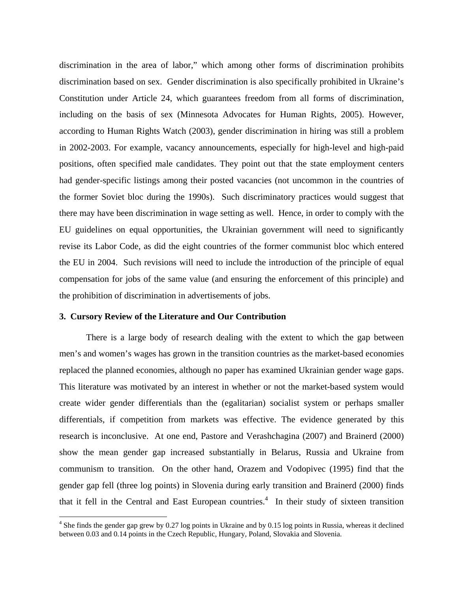discrimination in the area of labor," which among other forms of discrimination prohibits discrimination based on sex. Gender discrimination is also specifically prohibited in Ukraine's Constitution under Article 24, which guarantees freedom from all forms of discrimination, including on the basis of sex (Minnesota Advocates for Human Rights, 2005). However, according to Human Rights Watch (2003), gender discrimination in hiring was still a problem in 2002-2003. For example, vacancy announcements, especially for high-level and high-paid positions, often specified male candidates. They point out that the state employment centers had gender-specific listings among their posted vacancies (not uncommon in the countries of the former Soviet bloc during the 1990s). Such discriminatory practices would suggest that there may have been discrimination in wage setting as well. Hence, in order to comply with the EU guidelines on equal opportunities, the Ukrainian government will need to significantly revise its Labor Code, as did the eight countries of the former communist bloc which entered the EU in 2004. Such revisions will need to include the introduction of the principle of equal compensation for jobs of the same value (and ensuring the enforcement of this principle) and the prohibition of discrimination in advertisements of jobs.

### **3. Cursory Review of the Literature and Our Contribution**

There is a large body of research dealing with the extent to which the gap between men's and women's wages has grown in the transition countries as the market-based economies replaced the planned economies, although no paper has examined Ukrainian gender wage gaps. This literature was motivated by an interest in whether or not the market-based system would create wider gender differentials than the (egalitarian) socialist system or perhaps smaller differentials, if competition from markets was effective. The evidence generated by this research is inconclusive. At one end, Pastore and Verashchagina (2007) and Brainerd (2000) show the mean gender gap increased substantially in Belarus, Russia and Ukraine from communism to transition. On the other hand, Orazem and Vodopivec (1995) find that the gender gap fell (three log points) in Slovenia during early transition and Brainerd (2000) finds that it fell in the Central and East European countries.<sup>4</sup> In their study of sixteen transition

<sup>&</sup>lt;sup>4</sup> She finds the gender gap grew by 0.27 log points in Ukraine and by 0.15 log points in Russia, whereas it declined between 0.03 and 0.14 points in the Czech Republic, Hungary, Poland, Slovakia and Slovenia.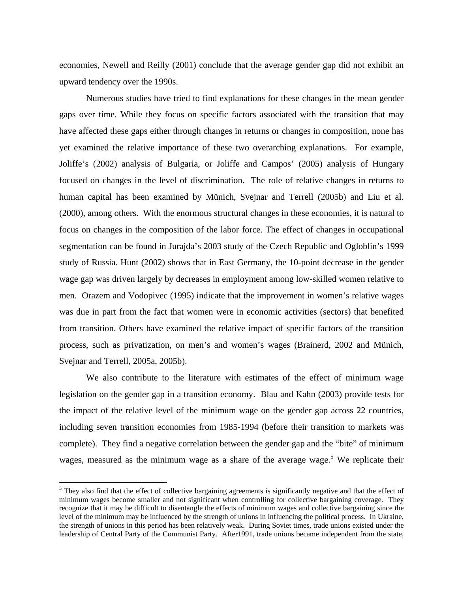economies, Newell and Reilly (2001) conclude that the average gender gap did not exhibit an upward tendency over the 1990s.

Numerous studies have tried to find explanations for these changes in the mean gender gaps over time. While they focus on specific factors associated with the transition that may have affected these gaps either through changes in returns or changes in composition, none has yet examined the relative importance of these two overarching explanations. For example, Joliffe's (2002) analysis of Bulgaria, or Joliffe and Campos' (2005) analysis of Hungary focused on changes in the level of discrimination. The role of relative changes in returns to human capital has been examined by Münich, Svejnar and Terrell (2005b) and Liu et al. (2000), among others. With the enormous structural changes in these economies, it is natural to focus on changes in the composition of the labor force. The effect of changes in occupational segmentation can be found in Jurajda's 2003 study of the Czech Republic and Ogloblin's 1999 study of Russia. Hunt (2002) shows that in East Germany, the 10-point decrease in the gender wage gap was driven largely by decreases in employment among low-skilled women relative to men. Orazem and Vodopivec (1995) indicate that the improvement in women's relative wages was due in part from the fact that women were in economic activities (sectors) that benefited from transition. Others have examined the relative impact of specific factors of the transition process, such as privatization, on men's and women's wages (Brainerd, 2002 and Münich, Svejnar and Terrell, 2005a, 2005b).

We also contribute to the literature with estimates of the effect of minimum wage legislation on the gender gap in a transition economy. Blau and Kahn (2003) provide tests for the impact of the relative level of the minimum wage on the gender gap across 22 countries, including seven transition economies from 1985-1994 (before their transition to markets was complete). They find a negative correlation between the gender gap and the "bite" of minimum wages, measured as the minimum wage as a share of the average wage.<sup>5</sup> We replicate their

 $<sup>5</sup>$  They also find that the effect of collective bargaining agreements is significantly negative and that the effect of</sup> minimum wages become smaller and not significant when controlling for collective bargaining coverage. They recognize that it may be difficult to disentangle the effects of minimum wages and collective bargaining since the level of the minimum may be influenced by the strength of unions in influencing the political process. In Ukraine, the strength of unions in this period has been relatively weak. During Soviet times, trade unions existed under the leadership of Central Party of the Communist Party. After1991, trade unions became independent from the state,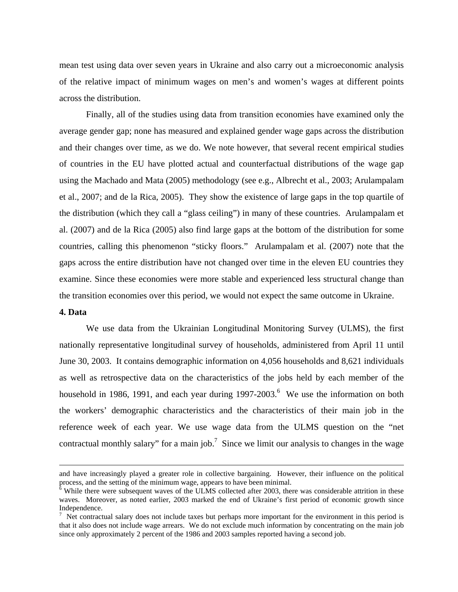mean test using data over seven years in Ukraine and also carry out a microeconomic analysis of the relative impact of minimum wages on men's and women's wages at different points across the distribution.

Finally, all of the studies using data from transition economies have examined only the average gender gap; none has measured and explained gender wage gaps across the distribution and their changes over time, as we do. We note however, that several recent empirical studies of countries in the EU have plotted actual and counterfactual distributions of the wage gap using the Machado and Mata (2005) methodology (see e.g., Albrecht et al., 2003; Arulampalam et al., 2007; and de la Rica, 2005). They show the existence of large gaps in the top quartile of the distribution (which they call a "glass ceiling") in many of these countries. Arulampalam et al. (2007) and de la Rica (2005) also find large gaps at the bottom of the distribution for some countries, calling this phenomenon "sticky floors." Arulampalam et al. (2007) note that the gaps across the entire distribution have not changed over time in the eleven EU countries they examine. Since these economies were more stable and experienced less structural change than the transition economies over this period, we would not expect the same outcome in Ukraine.

## **4. Data**

We use data from the Ukrainian Longitudinal Monitoring Survey (ULMS), the first nationally representative longitudinal survey of households, administered from April 11 until June 30, 2003. It contains demographic information on 4,056 households and 8,621 individuals as well as retrospective data on the characteristics of the jobs held by each member of the household in 1986, 1991, and each year during 1997-2003. <sup>6</sup> We use the information on both the workers' demographic characteristics and the characteristics of their main job in the reference week of each year. We use wage data from the ULMS question on the "net contractual monthly salary" for a main job.<sup>7</sup> Since we limit our analysis to changes in the wage

and have increasingly played a greater role in collective bargaining. However, their influence on the political process, and the setting of the minimum wage, appears to have been minimal.

 $6$  While there were subsequent waves of the ULMS collected after 2003, there was considerable attrition in these waves. Moreover, as noted earlier, 2003 marked the end of Ukraine's first period of economic growth since Independence.

 $<sup>7</sup>$  Net contractual salary does not include taxes but perhaps more important for the environment in this period is</sup> that it also does not include wage arrears. We do not exclude much information by concentrating on the main job since only approximately 2 percent of the 1986 and 2003 samples reported having a second job.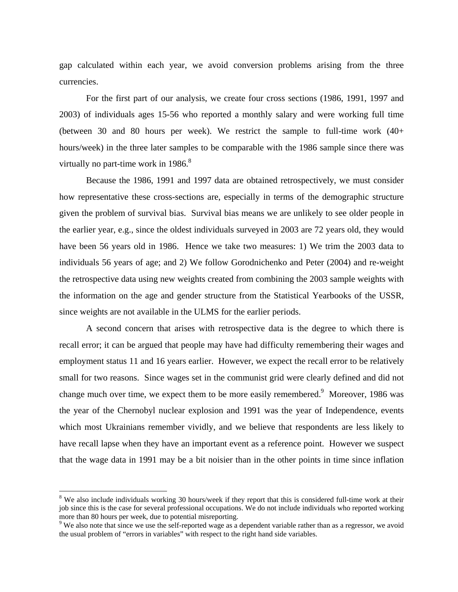gap calculated within each year, we avoid conversion problems arising from the three currencies.

For the first part of our analysis, we create four cross sections (1986, 1991, 1997 and 2003) of individuals ages 15-56 who reported a monthly salary and were working full time (between 30 and 80 hours per week). We restrict the sample to full-time work (40+ hours/week) in the three later samples to be comparable with the 1986 sample since there was virtually no part-time work in  $1986$ .<sup>8</sup>

Because the 1986, 1991 and 1997 data are obtained retrospectively, we must consider how representative these cross-sections are, especially in terms of the demographic structure given the problem of survival bias. Survival bias means we are unlikely to see older people in the earlier year, e.g., since the oldest individuals surveyed in 2003 are 72 years old, they would have been 56 years old in 1986. Hence we take two measures: 1) We trim the 2003 data to individuals 56 years of age; and 2) We follow Gorodnichenko and Peter (2004) and re-weight the retrospective data using new weights created from combining the 2003 sample weights with the information on the age and gender structure from the Statistical Yearbooks of the USSR, since weights are not available in the ULMS for the earlier periods.

A second concern that arises with retrospective data is the degree to which there is recall error; it can be argued that people may have had difficulty remembering their wages and employment status 11 and 16 years earlier. However, we expect the recall error to be relatively small for two reasons. Since wages set in the communist grid were clearly defined and did not change much over time, we expect them to be more easily remembered. Moreover, 1986 was the year of the Chernobyl nuclear explosion and 1991 was the year of Independence, events which most Ukrainians remember vividly, and we believe that respondents are less likely to have recall lapse when they have an important event as a reference point. However we suspect that the wage data in 1991 may be a bit noisier than in the other points in time since inflation

<sup>&</sup>lt;sup>8</sup> We also include individuals working 30 hours/week if they report that this is considered full-time work at their job since this is the case for several professional occupations. We do not include individuals who reported working more than 80 hours per week, due to potential misreporting.

<sup>&</sup>lt;sup>9</sup> We also note that since we use the self-reported wage as a dependent variable rather than as a regressor, we avoid the usual problem of "errors in variables" with respect to the right hand side variables.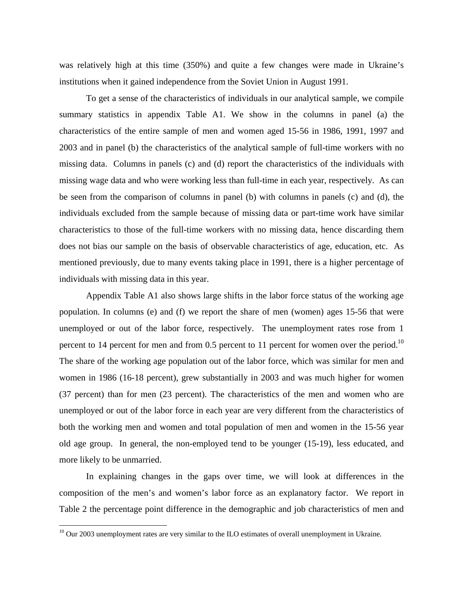was relatively high at this time (350%) and quite a few changes were made in Ukraine's institutions when it gained independence from the Soviet Union in August 1991.

To get a sense of the characteristics of individuals in our analytical sample, we compile summary statistics in appendix Table A1. We show in the columns in panel (a) the characteristics of the entire sample of men and women aged 15-56 in 1986, 1991, 1997 and 2003 and in panel (b) the characteristics of the analytical sample of full-time workers with no missing data. Columns in panels (c) and (d) report the characteristics of the individuals with missing wage data and who were working less than full-time in each year, respectively. As can be seen from the comparison of columns in panel (b) with columns in panels (c) and (d), the individuals excluded from the sample because of missing data or part-time work have similar characteristics to those of the full-time workers with no missing data, hence discarding them does not bias our sample on the basis of observable characteristics of age, education, etc. As mentioned previously, due to many events taking place in 1991, there is a higher percentage of individuals with missing data in this year.

Appendix Table A1 also shows large shifts in the labor force status of the working age population. In columns (e) and (f) we report the share of men (women) ages 15-56 that were unemployed or out of the labor force, respectively. The unemployment rates rose from 1 percent to 14 percent for men and from 0.5 percent to 11 percent for women over the period.<sup>10</sup> The share of the working age population out of the labor force, which was similar for men and women in 1986 (16-18 percent), grew substantially in 2003 and was much higher for women (37 percent) than for men (23 percent). The characteristics of the men and women who are unemployed or out of the labor force in each year are very different from the characteristics of both the working men and women and total population of men and women in the 15-56 year old age group. In general, the non-employed tend to be younger (15-19), less educated, and more likely to be unmarried.

In explaining changes in the gaps over time, we will look at differences in the composition of the men's and women's labor force as an explanatory factor. We report in Table 2 the percentage point difference in the demographic and job characteristics of men and

 $10$  Our 2003 unemployment rates are very similar to the ILO estimates of overall unemployment in Ukraine.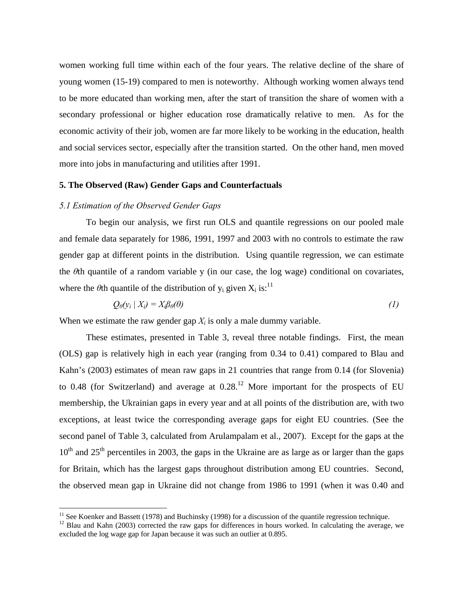women working full time within each of the four years. The relative decline of the share of young women (15-19) compared to men is noteworthy. Although working women always tend to be more educated than working men, after the start of transition the share of women with a secondary professional or higher education rose dramatically relative to men. As for the economic activity of their job, women are far more likely to be working in the education, health and social services sector, especially after the transition started. On the other hand, men moved more into jobs in manufacturing and utilities after 1991.

# **5. The Observed (Raw) Gender Gaps and Counterfactuals**

# *5.1 Estimation of the Observed Gender Gaps*

To begin our analysis, we first run OLS and quantile regressions on our pooled male and female data separately for 1986, 1991, 1997 and 2003 with no controls to estimate the raw gender gap at different points in the distribution. Using quantile regression, we can estimate the *θ*th quantile of a random variable y (in our case, the log wage) conditional on covariates, where the  $\theta$ th quantile of the distribution of y<sub>i</sub> given  $X_i$  is:<sup>11</sup>

$$
Q_{\theta}(y_i \mid X_i) = X_i \beta_{\theta}(\theta) \tag{1}
$$

When we estimate the raw gender gap  $X_i$  is only a male dummy variable.

These estimates, presented in Table 3, reveal three notable findings. First, the mean (OLS) gap is relatively high in each year (ranging from 0.34 to 0.41) compared to Blau and Kahn's (2003) estimates of mean raw gaps in 21 countries that range from 0.14 (for Slovenia) to 0.48 (for Switzerland) and average at  $0.28$ .<sup>12</sup> More important for the prospects of EU membership, the Ukrainian gaps in every year and at all points of the distribution are, with two exceptions, at least twice the corresponding average gaps for eight EU countries. (See the second panel of Table 3, calculated from Arulampalam et al., 2007). Except for the gaps at the  $10<sup>th</sup>$  and  $25<sup>th</sup>$  percentiles in 2003, the gaps in the Ukraine are as large as or larger than the gaps for Britain, which has the largest gaps throughout distribution among EU countries. Second, the observed mean gap in Ukraine did not change from 1986 to 1991 (when it was 0.40 and

 $11$  See Koenker and Bassett (1978) and Buchinsky (1998) for a discussion of the quantile regression technique.

 $12$  Blau and Kahn (2003) corrected the raw gaps for differences in hours worked. In calculating the average, we excluded the log wage gap for Japan because it was such an outlier at 0.895.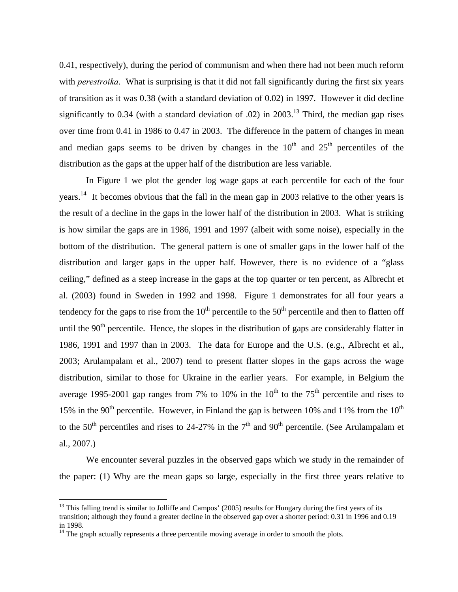0.41, respectively), during the period of communism and when there had not been much reform with *perestroika*. What is surprising is that it did not fall significantly during the first six years of transition as it was 0.38 (with a standard deviation of 0.02) in 1997. However it did decline significantly to 0.34 (with a standard deviation of .02) in 2003.<sup>13</sup> Third, the median gap rises over time from 0.41 in 1986 to 0.47 in 2003. The difference in the pattern of changes in mean and median gaps seems to be driven by changes in the  $10<sup>th</sup>$  and  $25<sup>th</sup>$  percentiles of the distribution as the gaps at the upper half of the distribution are less variable.

In Figure 1 we plot the gender log wage gaps at each percentile for each of the four years.<sup>14</sup> It becomes obvious that the fall in the mean gap in 2003 relative to the other years is the result of a decline in the gaps in the lower half of the distribution in 2003. What is striking is how similar the gaps are in 1986, 1991 and 1997 (albeit with some noise), especially in the bottom of the distribution. The general pattern is one of smaller gaps in the lower half of the distribution and larger gaps in the upper half. However, there is no evidence of a "glass ceiling," defined as a steep increase in the gaps at the top quarter or ten percent, as Albrecht et al. (2003) found in Sweden in 1992 and 1998. Figure 1 demonstrates for all four years a tendency for the gaps to rise from the  $10<sup>th</sup>$  percentile to the  $50<sup>th</sup>$  percentile and then to flatten off until the  $90<sup>th</sup>$  percentile. Hence, the slopes in the distribution of gaps are considerably flatter in 1986, 1991 and 1997 than in 2003. The data for Europe and the U.S. (e.g., Albrecht et al., 2003; Arulampalam et al., 2007) tend to present flatter slopes in the gaps across the wage distribution, similar to those for Ukraine in the earlier years. For example, in Belgium the average 1995-2001 gap ranges from 7% to 10% in the  $10^{th}$  to the 75<sup>th</sup> percentile and rises to 15% in the 90<sup>th</sup> percentile. However, in Finland the gap is between 10% and 11% from the 10<sup>th</sup> to the 50<sup>th</sup> percentiles and rises to 24-27% in the 7<sup>th</sup> and 90<sup>th</sup> percentile. (See Arulampalam et al., 2007.)

We encounter several puzzles in the observed gaps which we study in the remainder of the paper: (1) Why are the mean gaps so large, especially in the first three years relative to

 $13$  This falling trend is similar to Jolliffe and Campos' (2005) results for Hungary during the first years of its transition; although they found a greater decline in the observed gap over a shorter period: 0.31 in 1996 and 0.19 in 1998.

 $14$  The graph actually represents a three percentile moving average in order to smooth the plots.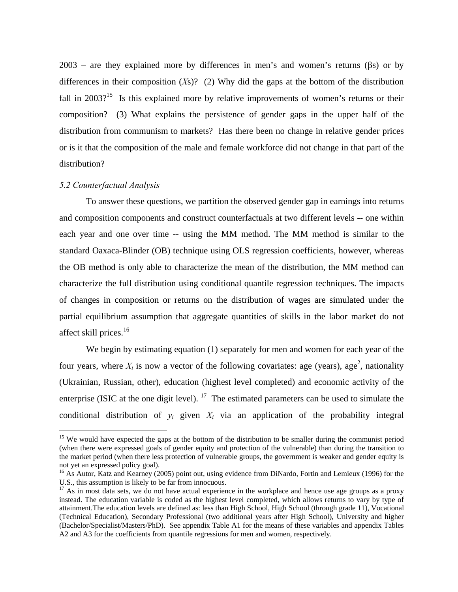2003 – are they explained more by differences in men's and women's returns ( $\beta s$ ) or by differences in their composition (*X*s)? (2) Why did the gaps at the bottom of the distribution fall in  $2003$ <sup>15</sup> Is this explained more by relative improvements of women's returns or their composition? (3) What explains the persistence of gender gaps in the upper half of the distribution from communism to markets? Has there been no change in relative gender prices or is it that the composition of the male and female workforce did not change in that part of the distribution?

#### *5.2 Counterfactual Analysis*

 $\overline{a}$ 

To answer these questions, we partition the observed gender gap in earnings into returns and composition components and construct counterfactuals at two different levels -- one within each year and one over time -- using the MM method. The MM method is similar to the standard Oaxaca-Blinder (OB) technique using OLS regression coefficients, however, whereas the OB method is only able to characterize the mean of the distribution, the MM method can characterize the full distribution using conditional quantile regression techniques. The impacts of changes in composition or returns on the distribution of wages are simulated under the partial equilibrium assumption that aggregate quantities of skills in the labor market do not affect skill prices.<sup>16</sup>

We begin by estimating equation (1) separately for men and women for each year of the four years, where  $X_i$  is now a vector of the following covariates: age (years), age<sup>2</sup>, nationality (Ukrainian, Russian, other), education (highest level completed) and economic activity of the enterprise (ISIC at the one digit level).  $17$  The estimated parameters can be used to simulate the conditional distribution of  $y_i$  given  $X_i$  via an application of the probability integral

<sup>&</sup>lt;sup>15</sup> We would have expected the gaps at the bottom of the distribution to be smaller during the communist period (when there were expressed goals of gender equity and protection of the vulnerable) than during the transition to the market period (when there less protection of vulnerable groups, the government is weaker and gender equity is not yet an expressed policy goal).

<sup>&</sup>lt;sup>16</sup> As Autor, Katz and Kearney (2005) point out, using evidence from DiNardo, Fortin and Lemieux (1996) for the U.S., this assumption is likely to be far from innocuous.

 $17$  As in most data sets, we do not have actual experience in the workplace and hence use age groups as a proxy instead. The education variable is coded as the highest level completed, which allows returns to vary by type of attainment.The education levels are defined as: less than High School, High School (through grade 11), Vocational (Technical Education), Secondary Professional (two additional years after High School), University and higher (Bachelor/Specialist/Masters/PhD). See appendix Table A1 for the means of these variables and appendix Tables A2 and A3 for the coefficients from quantile regressions for men and women, respectively.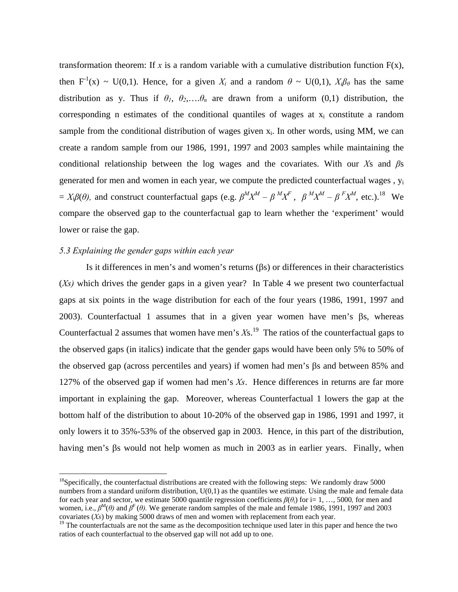transformation theorem: If  $x$  is a random variable with a cumulative distribution function  $F(x)$ , then  $F^{-1}(x) \sim U(0,1)$ . Hence, for a given  $X_i$  and a random  $\theta \sim U(0,1)$ ,  $X_i\beta_\theta$  has the same distribution as y. Thus if  $\theta_1$ ,  $\theta_2$ ,... $\theta_n$  are drawn from a uniform (0,1) distribution, the corresponding n estimates of the conditional quantiles of wages at  $x_i$  constitute a random sample from the conditional distribution of wages given  $x_i$ . In other words, using MM, we can create a random sample from our 1986, 1991, 1997 and 2003 samples while maintaining the conditional relationship between the log wages and the covariates. With our *X*s and *β*s generated for men and women in each year, we compute the predicted counterfactual wages , yi  $= X_i \beta(\theta)$ , and construct counterfactual gaps (e.g.  $\beta^M X^M - \beta^M X^F$ ,  $\beta^M X^M - \beta^F X^M$ , etc.).<sup>18</sup> We compare the observed gap to the counterfactual gap to learn whether the 'experiment' would lower or raise the gap.

## *5.3 Explaining the gender gaps within each year*

 $\overline{a}$ 

Is it differences in men's and women's returns (βs) or differences in their characteristics (*Xs)* which drives the gender gaps in a given year? In Table 4 we present two counterfactual gaps at six points in the wage distribution for each of the four years (1986, 1991, 1997 and 2003). Counterfactual 1 assumes that in a given year women have men's βs, whereas Counterfactual 2 assumes that women have men's  $Xs$ .<sup>19</sup> The ratios of the counterfactual gaps to the observed gaps (in italics) indicate that the gender gaps would have been only 5% to 50% of the observed gap (across percentiles and years) if women had men's βs and between 85% and 127% of the observed gap if women had men's *Xs*. Hence differences in returns are far more important in explaining the gap. Moreover, whereas Counterfactual 1 lowers the gap at the bottom half of the distribution to about 10-20% of the observed gap in 1986, 1991 and 1997, it only lowers it to 35%-53% of the observed gap in 2003. Hence, in this part of the distribution, having men's βs would not help women as much in 2003 as in earlier years. Finally, when

 $18$ Specifically, the counterfactual distributions are created with the following steps: We randomly draw 5000 numbers from a standard uniform distribution,  $U(0,1)$  as the quantiles we estimate. Using the male and female data for each year and sector, we estimate 5000 quantile regression coefficients  $\beta(\theta_i)$  for i= 1, ..., 5000, for men and women, i.e.,  $\beta^M(\theta)$  and  $\beta^F(\theta)$ . We generate random samples of the male and female 1986, 1991, 1997 and 2003 covariates (*Xs*) by making 5000 draws of men and women with replacement from each year.

 $19$  The counterfactuals are not the same as the decomposition technique used later in this paper and hence the two ratios of each counterfactual to the observed gap will not add up to one.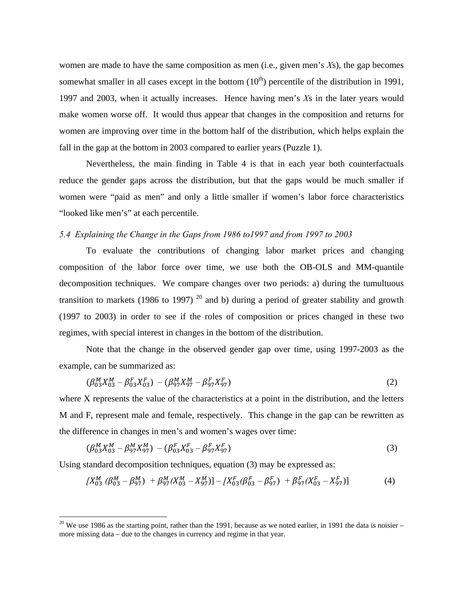women are made to have the same composition as men (i.e., given men's *X*s), the gap becomes somewhat smaller in all cases except in the bottom  $(10<sup>th</sup>)$  percentile of the distribution in 1991, 1997 and 2003, when it actually increases. Hence having men's *X*s in the later years would make women worse off. It would thus appear that changes in the composition and returns for women are improving over time in the bottom half of the distribution, which helps explain the fall in the gap at the bottom in 2003 compared to earlier years (Puzzle 1).

Nevertheless, the main finding in Table 4 is that in each year both counterfactuals reduce the gender gaps across the distribution, but that the gaps would be much smaller if women were "paid as men" and only a little smaller if women's labor force characteristics "looked like men's" at each percentile.

# *5.4 Explaining the Change in the Gaps from 1986 to1997 and from 1997 to 2003*

To evaluate the contributions of changing labor market prices and changing composition of the labor force over time, we use both the OB-OLS and MM-quantile decomposition techniques. We compare changes over two periods: a) during the tumultuous transition to markets (1986 to 1997)<sup>20</sup> and b) during a period of greater stability and growth (1997 to 2003) in order to see if the roles of composition or prices changed in these two regimes, with special interest in changes in the bottom of the distribution.

Note that the change in the observed gender gap over time, using 1997-2003 as the example, can be summarized as:

$$
(\beta_{03}^M X_{03}^M - \beta_{03}^F X_{03}^F) - (\beta_{97}^M X_{97}^M - \beta_{97}^F X_{97}^F)
$$
\n(2)

where X represents the value of the characteristics at a point in the distribution, and the letters M and F, represent male and female, respectively. This change in the gap can be rewritten as the difference in changes in men's and women's wages over time:

$$
(\beta_{03}^M X_{03}^M - \beta_{97}^M X_{97}^M) - (\beta_{03}^F X_{03}^F - \beta_{97}^F X_{97}^F)
$$
\n(3)

Using standard decomposition techniques, equation (3) may be expressed as:

$$
[X_{03}^M \ (\beta_{03}^M - \beta_{97}^M) + \beta_{97}^M (X_{03}^M - X_{97}^M)] - [X_{03}^F (\beta_{03}^F - \beta_{97}^F) + \beta_{97}^F (X_{03}^F - X_{97}^F)] \tag{4}
$$

 $20$  We use 1986 as the starting point, rather than the 1991, because as we noted earlier, in 1991 the data is noisier – more missing data – due to the changes in currency and regime in that year.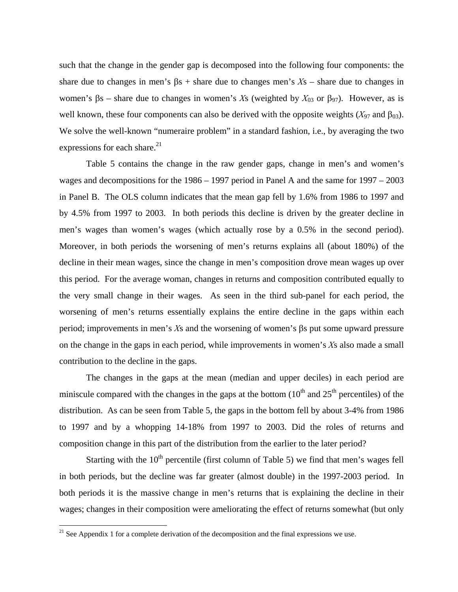such that the change in the gender gap is decomposed into the following four components: the share due to changes in men's βs + share due to changes men's *X*s – share due to changes in women's βs – share due to changes in women's *X*s (weighted by  $X_{03}$  or β<sub>97</sub>). However, as is well known, these four components can also be derived with the opposite weights  $(X_{97}$  and  $\beta_{03})$ . We solve the well-known "numeraire problem" in a standard fashion, i.e., by averaging the two expressions for each share. $2<sup>1</sup>$ 

Table 5 contains the change in the raw gender gaps, change in men's and women's wages and decompositions for the 1986 – 1997 period in Panel A and the same for 1997 – 2003 in Panel B. The OLS column indicates that the mean gap fell by 1.6% from 1986 to 1997 and by 4.5% from 1997 to 2003. In both periods this decline is driven by the greater decline in men's wages than women's wages (which actually rose by a 0.5% in the second period). Moreover, in both periods the worsening of men's returns explains all (about 180%) of the decline in their mean wages, since the change in men's composition drove mean wages up over this period. For the average woman, changes in returns and composition contributed equally to the very small change in their wages. As seen in the third sub-panel for each period, the worsening of men's returns essentially explains the entire decline in the gaps within each period; improvements in men's *X*s and the worsening of women's βs put some upward pressure on the change in the gaps in each period, while improvements in women's *X*s also made a small contribution to the decline in the gaps.

The changes in the gaps at the mean (median and upper deciles) in each period are miniscule compared with the changes in the gaps at the bottom  $(10<sup>th</sup>$  and  $25<sup>th</sup>$  percentiles) of the distribution. As can be seen from Table 5, the gaps in the bottom fell by about 3-4% from 1986 to 1997 and by a whopping 14-18% from 1997 to 2003. Did the roles of returns and composition change in this part of the distribution from the earlier to the later period?

Starting with the  $10<sup>th</sup>$  percentile (first column of Table 5) we find that men's wages fell in both periods, but the decline was far greater (almost double) in the 1997-2003 period. In both periods it is the massive change in men's returns that is explaining the decline in their wages; changes in their composition were ameliorating the effect of returns somewhat (but only

<sup>&</sup>lt;sup>21</sup> See Appendix 1 for a complete derivation of the decomposition and the final expressions we use.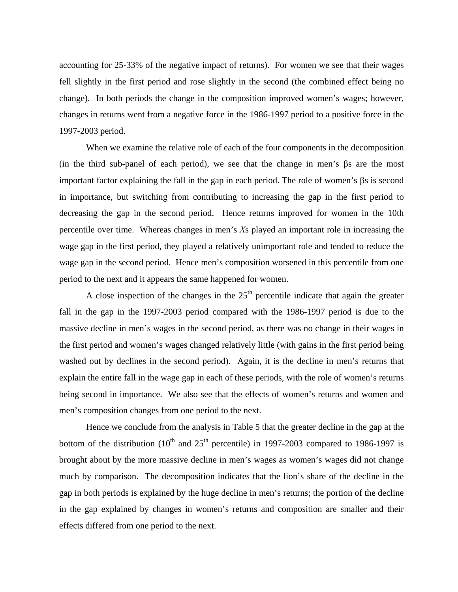accounting for 25-33% of the negative impact of returns). For women we see that their wages fell slightly in the first period and rose slightly in the second (the combined effect being no change). In both periods the change in the composition improved women's wages; however, changes in returns went from a negative force in the 1986-1997 period to a positive force in the 1997-2003 period.

When we examine the relative role of each of the four components in the decomposition (in the third sub-panel of each period), we see that the change in men's βs are the most important factor explaining the fall in the gap in each period. The role of women's βs is second in importance, but switching from contributing to increasing the gap in the first period to decreasing the gap in the second period. Hence returns improved for women in the 10th percentile over time. Whereas changes in men's *X*s played an important role in increasing the wage gap in the first period, they played a relatively unimportant role and tended to reduce the wage gap in the second period. Hence men's composition worsened in this percentile from one period to the next and it appears the same happened for women.

A close inspection of the changes in the  $25<sup>th</sup>$  percentile indicate that again the greater fall in the gap in the 1997-2003 period compared with the 1986-1997 period is due to the massive decline in men's wages in the second period, as there was no change in their wages in the first period and women's wages changed relatively little (with gains in the first period being washed out by declines in the second period). Again, it is the decline in men's returns that explain the entire fall in the wage gap in each of these periods, with the role of women's returns being second in importance. We also see that the effects of women's returns and women and men's composition changes from one period to the next.

Hence we conclude from the analysis in Table 5 that the greater decline in the gap at the bottom of the distribution  $(10^{th}$  and  $25^{th}$  percentile) in 1997-2003 compared to 1986-1997 is brought about by the more massive decline in men's wages as women's wages did not change much by comparison. The decomposition indicates that the lion's share of the decline in the gap in both periods is explained by the huge decline in men's returns; the portion of the decline in the gap explained by changes in women's returns and composition are smaller and their effects differed from one period to the next.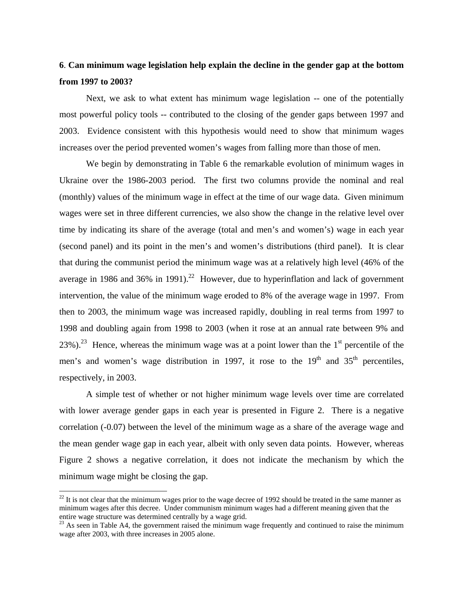# **6**. **Can minimum wage legislation help explain the decline in the gender gap at the bottom from 1997 to 2003?**

Next, we ask to what extent has minimum wage legislation -- one of the potentially most powerful policy tools -- contributed to the closing of the gender gaps between 1997 and 2003. Evidence consistent with this hypothesis would need to show that minimum wages increases over the period prevented women's wages from falling more than those of men.

We begin by demonstrating in Table 6 the remarkable evolution of minimum wages in Ukraine over the 1986-2003 period. The first two columns provide the nominal and real (monthly) values of the minimum wage in effect at the time of our wage data. Given minimum wages were set in three different currencies, we also show the change in the relative level over time by indicating its share of the average (total and men's and women's) wage in each year (second panel) and its point in the men's and women's distributions (third panel). It is clear that during the communist period the minimum wage was at a relatively high level (46% of the average in 1986 and 36% in 1991).<sup>22</sup> However, due to hyperinflation and lack of government intervention, the value of the minimum wage eroded to 8% of the average wage in 1997. From then to 2003, the minimum wage was increased rapidly, doubling in real terms from 1997 to 1998 and doubling again from 1998 to 2003 (when it rose at an annual rate between 9% and 23%).<sup>23</sup> Hence, whereas the minimum wage was at a point lower than the 1<sup>st</sup> percentile of the men's and women's wage distribution in 1997, it rose to the  $19<sup>th</sup>$  and  $35<sup>th</sup>$  percentiles, respectively, in 2003.

A simple test of whether or not higher minimum wage levels over time are correlated with lower average gender gaps in each year is presented in Figure 2. There is a negative correlation (-0.07) between the level of the minimum wage as a share of the average wage and the mean gender wage gap in each year, albeit with only seven data points. However, whereas Figure 2 shows a negative correlation, it does not indicate the mechanism by which the minimum wage might be closing the gap.

 $^{22}$  It is not clear that the minimum wages prior to the wage decree of 1992 should be treated in the same manner as minimum wages after this decree. Under communism minimum wages had a different meaning given that the entire wage structure was determined centrally by a wage grid.

 $^{23}$  As seen in Table A4, the government raised the minimum wage frequently and continued to raise the minimum wage after 2003, with three increases in 2005 alone.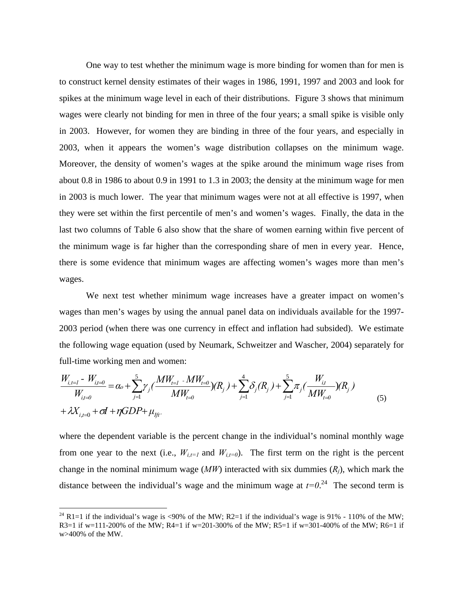One way to test whether the minimum wage is more binding for women than for men is to construct kernel density estimates of their wages in 1986, 1991, 1997 and 2003 and look for spikes at the minimum wage level in each of their distributions. Figure 3 shows that minimum wages were clearly not binding for men in three of the four years; a small spike is visible only in 2003. However, for women they are binding in three of the four years, and especially in 2003, when it appears the women's wage distribution collapses on the minimum wage. Moreover, the density of women's wages at the spike around the minimum wage rises from about 0.8 in 1986 to about 0.9 in 1991 to 1.3 in 2003; the density at the minimum wage for men in 2003 is much lower. The year that minimum wages were not at all effective is 1997, when they were set within the first percentile of men's and women's wages. Finally, the data in the last two columns of Table 6 also show that the share of women earning within five percent of the minimum wage is far higher than the corresponding share of men in every year. Hence, there is some evidence that minimum wages are affecting women's wages more than men's wages.

We next test whether minimum wage increases have a greater impact on women's wages than men's wages by using the annual panel data on individuals available for the 1997- 2003 period (when there was one currency in effect and inflation had subsided). We estimate the following wage equation (used by Neumark, Schweitzer and Wascher, 2004) separately for full-time working men and women:

$$
\frac{W_{i,t=1} - W_{i,t=0}}{W_{i,t=0}} = \alpha_o + \sum_{j=1}^{5} \gamma_j \left( \frac{MW_{t=1} - MW_{t=0}}{MW_{t=0}} \right) (R_j) + \sum_{j=1}^{4} \delta_j (R_j) + \sum_{j=1}^{5} \pi_j \left( \frac{W_{i,t}}{MW_{t=0}} \right) (R_j)
$$
\n
$$
+ \lambda X_{i,t=0} + \sigma I + \eta GDP + \mu_{jft}.
$$
\n(5)

where the dependent variable is the percent change in the individual's nominal monthly wage from one year to the next (i.e.,  $W_{i,t=1}$  and  $W_{i,t=0}$ ). The first term on the right is the percent change in the nominal minimum wage  $(MW)$  interacted with six dummies  $(R_i)$ , which mark the distance between the individual's wage and the minimum wage at  $t=0.24$  The second term is

<sup>&</sup>lt;sup>24</sup> R1=1 if the individual's wage is <90% of the MW; R2=1 if the individual's wage is 91% - 110% of the MW; R3=1 if w=111-200% of the MW; R4=1 if w=201-300% of the MW; R5=1 if w=301-400% of the MW; R6=1 if w>400% of the MW.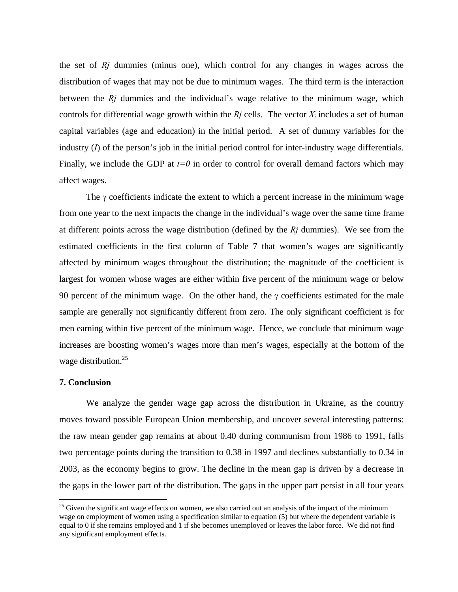the set of *Rj* dummies (minus one), which control for any changes in wages across the distribution of wages that may not be due to minimum wages. The third term is the interaction between the *Rj* dummies and the individual's wage relative to the minimum wage, which controls for differential wage growth within the  $Rj$  cells. The vector  $X_i$  includes a set of human capital variables (age and education) in the initial period. A set of dummy variables for the industry (*I*) of the person's job in the initial period control for inter-industry wage differentials. Finally, we include the GDP at  $t=0$  in order to control for overall demand factors which may affect wages.

The  $\gamma$  coefficients indicate the extent to which a percent increase in the minimum wage from one year to the next impacts the change in the individual's wage over the same time frame at different points across the wage distribution (defined by the *Rj* dummies). We see from the estimated coefficients in the first column of Table 7 that women's wages are significantly affected by minimum wages throughout the distribution; the magnitude of the coefficient is largest for women whose wages are either within five percent of the minimum wage or below 90 percent of the minimum wage. On the other hand, the  $\gamma$  coefficients estimated for the male sample are generally not significantly different from zero. The only significant coefficient is for men earning within five percent of the minimum wage. Hence, we conclude that minimum wage increases are boosting women's wages more than men's wages, especially at the bottom of the wage distribution.<sup>25</sup>

# **7. Conclusion**

 $\overline{a}$ 

We analyze the gender wage gap across the distribution in Ukraine, as the country moves toward possible European Union membership, and uncover several interesting patterns: the raw mean gender gap remains at about 0.40 during communism from 1986 to 1991, falls two percentage points during the transition to 0.38 in 1997 and declines substantially to 0.34 in 2003, as the economy begins to grow. The decline in the mean gap is driven by a decrease in the gaps in the lower part of the distribution. The gaps in the upper part persist in all four years

 $^{25}$  Given the significant wage effects on women, we also carried out an analysis of the impact of the minimum wage on employment of women using a specification similar to equation (5) but where the dependent variable is equal to 0 if she remains employed and 1 if she becomes unemployed or leaves the labor force. We did not find any significant employment effects.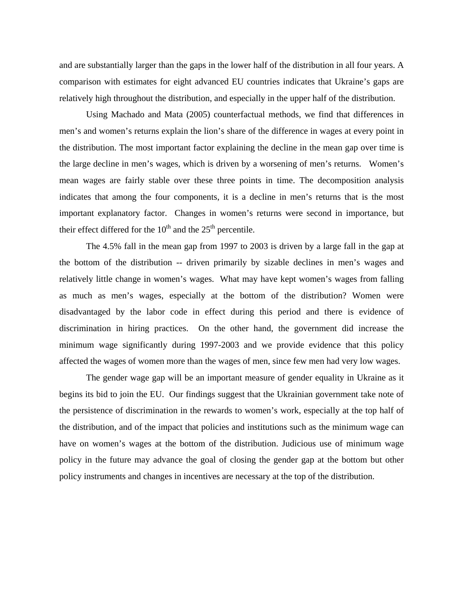and are substantially larger than the gaps in the lower half of the distribution in all four years. A comparison with estimates for eight advanced EU countries indicates that Ukraine's gaps are relatively high throughout the distribution, and especially in the upper half of the distribution.

Using Machado and Mata (2005) counterfactual methods, we find that differences in men's and women's returns explain the lion's share of the difference in wages at every point in the distribution. The most important factor explaining the decline in the mean gap over time is the large decline in men's wages, which is driven by a worsening of men's returns. Women's mean wages are fairly stable over these three points in time. The decomposition analysis indicates that among the four components, it is a decline in men's returns that is the most important explanatory factor. Changes in women's returns were second in importance, but their effect differed for the  $10<sup>th</sup>$  and the  $25<sup>th</sup>$  percentile.

The 4.5% fall in the mean gap from 1997 to 2003 is driven by a large fall in the gap at the bottom of the distribution -- driven primarily by sizable declines in men's wages and relatively little change in women's wages. What may have kept women's wages from falling as much as men's wages, especially at the bottom of the distribution? Women were disadvantaged by the labor code in effect during this period and there is evidence of discrimination in hiring practices. On the other hand, the government did increase the minimum wage significantly during 1997-2003 and we provide evidence that this policy affected the wages of women more than the wages of men, since few men had very low wages.

The gender wage gap will be an important measure of gender equality in Ukraine as it begins its bid to join the EU. Our findings suggest that the Ukrainian government take note of the persistence of discrimination in the rewards to women's work, especially at the top half of the distribution, and of the impact that policies and institutions such as the minimum wage can have on women's wages at the bottom of the distribution. Judicious use of minimum wage policy in the future may advance the goal of closing the gender gap at the bottom but other policy instruments and changes in incentives are necessary at the top of the distribution.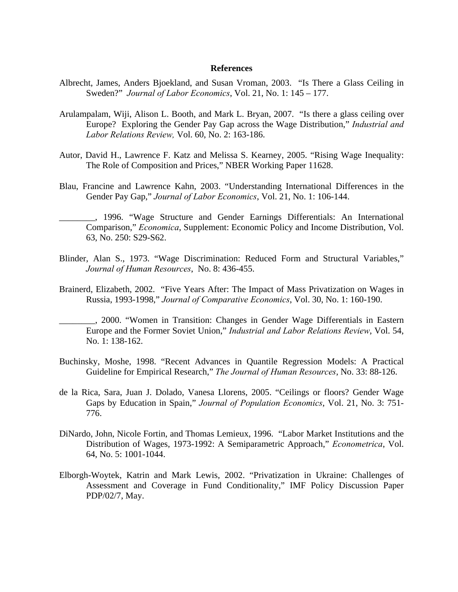#### **References**

- Albrecht, James, Anders Bjoekland, and Susan Vroman, 2003. "Is There a Glass Ceiling in Sweden?" *Journal of Labor Economics*, Vol. 21, No. 1: 145 – 177.
- Arulampalam, Wiji, Alison L. Booth, and Mark L. Bryan, 2007. "Is there a glass ceiling over Europe? Exploring the Gender Pay Gap across the Wage Distribution," *Industrial and Labor Relations Review,* Vol. 60, No. 2: 163-186.
- Autor, David H., Lawrence F. Katz and Melissa S. Kearney, 2005. "Rising Wage Inequality: The Role of Composition and Prices," NBER Working Paper 11628.
- Blau, Francine and Lawrence Kahn, 2003. "Understanding International Differences in the Gender Pay Gap," *Journal of Labor Economics*, Vol. 21, No. 1: 106-144.
	- \_\_\_\_\_\_\_\_, 1996. "Wage Structure and Gender Earnings Differentials: An International Comparison," *Economica*, Supplement: Economic Policy and Income Distribution, Vol. 63, No. 250: S29-S62.
- Blinder, Alan S., 1973. "Wage Discrimination: Reduced Form and Structural Variables," *Journal of Human Resources*, No. 8: 436-455.
- Brainerd, Elizabeth, 2002. "Five Years After: The Impact of Mass Privatization on Wages in Russia, 1993-1998," *Journal of Comparative Economics*, Vol. 30, No. 1: 160-190.
- \_\_\_\_\_\_\_\_, 2000. "Women in Transition: Changes in Gender Wage Differentials in Eastern Europe and the Former Soviet Union," *Industrial and Labor Relations Review*, Vol. 54, No. 1: 138-162.
- Buchinsky, Moshe, 1998. "Recent Advances in Quantile Regression Models: A Practical Guideline for Empirical Research," *The Journal of Human Resources*, No. 33: 88-126.
- de la Rica, Sara, Juan J. Dolado, Vanesa Llorens, 2005. "Ceilings or floors? Gender Wage Gaps by Education in Spain," *Journal of Population Economics*, Vol. 21, No. 3: 751- 776.
- DiNardo, John, Nicole Fortin, and Thomas Lemieux, 1996. "Labor Market Institutions and the Distribution of Wages, 1973-1992: A Semiparametric Approach," *Econometrica*, Vol. 64, No. 5: 1001-1044.
- Elborgh-Woytek, Katrin and Mark Lewis, 2002. "Privatization in Ukraine: Challenges of Assessment and Coverage in Fund Conditionality," IMF Policy Discussion Paper PDP/02/7, May.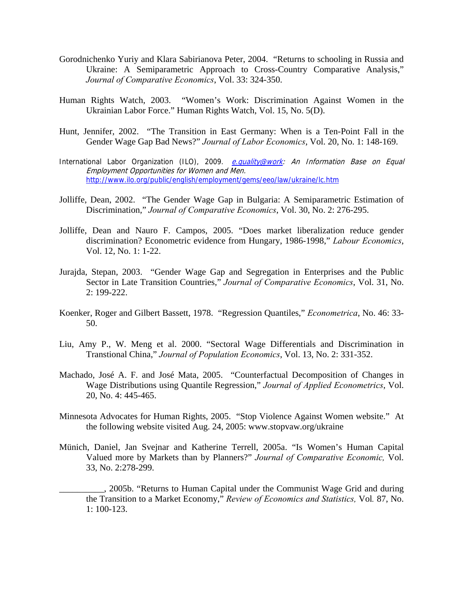- Gorodnichenko Yuriy and Klara Sabirianova Peter, 2004. "Returns to schooling in Russia and Ukraine: A Semiparametric Approach to Cross-Country Comparative Analysis," *Journal of Comparative Economics*, Vol. 33: 324-350.
- Human Rights Watch, 2003. "Women's Work: Discrimination Against Women in the Ukrainian Labor Force." Human Rights Watch, Vol. 15, No. 5(D).
- Hunt, Jennifer, 2002. "The Transition in East Germany: When is a Ten-Point Fall in the Gender Wage Gap Bad News?" *Journal of Labor Economics*, Vol. 20, No. 1: 148-169.
- International Labor Organization (ILO), 2009. *e.quality@work: An Information Base on Equal* Employment Opportunities for Women and Men. http://www.ilo.org/public/english/employment/gems/eeo/law/ukraine/lc.htm
- Jolliffe, Dean, 2002. "The Gender Wage Gap in Bulgaria: A Semiparametric Estimation of Discrimination," *Journal of Comparative Economics*, Vol. 30, No. 2: 276-295.
- Jolliffe, Dean and Nauro F. Campos, 2005. "Does market liberalization reduce gender discrimination? Econometric evidence from Hungary, 1986-1998," *Labour Economics*, Vol. 12, No. 1: 1-22.
- Jurajda, Stepan, 2003. "Gender Wage Gap and Segregation in Enterprises and the Public Sector in Late Transition Countries," *Journal of Comparative Economics*, Vol. 31, No. 2: 199-222.
- Koenker, Roger and Gilbert Bassett, 1978. "Regression Quantiles," *Econometrica*, No. 46: 33- 50.
- Liu, Amy P., W. Meng et al. 2000. "Sectoral Wage Differentials and Discrimination in Transtional China," *Journal of Population Economics*, Vol. 13, No. 2: 331-352.
- Machado, José A. F. and José Mata, 2005. "Counterfactual Decomposition of Changes in Wage Distributions using Quantile Regression," *Journal of Applied Econometrics*, Vol. 20, No. 4: 445-465.
- Minnesota Advocates for Human Rights, 2005. "Stop Violence Against Women website." At the following website visited Aug. 24, 2005: www.stopvaw.org/ukraine
- Münich, Daniel, Jan Svejnar and Katherine Terrell, 2005a. "Is Women's Human Capital Valued more by Markets than by Planners?" *Journal of Comparative Economic,* Vol. 33, No. 2:278-299.
- \_\_\_\_\_\_\_\_\_\_, 2005b. "Returns to Human Capital under the Communist Wage Grid and during the Transition to a Market Economy," *Review of Economics and Statistics,* Vol*.* 87, No. 1: 100-123.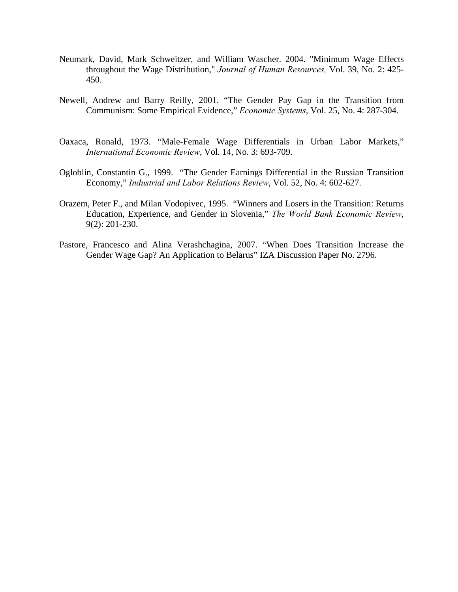- Neumark, David, Mark Schweitzer, and William Wascher. 2004. "Minimum Wage Effects throughout the Wage Distribution," *Journal of Human Resources,* Vol. 39, No. 2: 425- 450.
- Newell, Andrew and Barry Reilly, 2001. "The Gender Pay Gap in the Transition from Communism: Some Empirical Evidence," *Economic Systems*, Vol. 25, No. 4: 287-304.
- Oaxaca, Ronald, 1973. "Male-Female Wage Differentials in Urban Labor Markets," *International Economic Review*, Vol. 14, No. 3: 693-709.
- Ogloblin, Constantin G., 1999. "The Gender Earnings Differential in the Russian Transition Economy," *Industrial and Labor Relations Review*, Vol. 52, No. 4: 602-627.
- Orazem, Peter F., and Milan Vodopivec, 1995. "Winners and Losers in the Transition: Returns Education, Experience, and Gender in Slovenia," *The World Bank Economic Review*, 9(2): 201-230.
- Pastore, Francesco and Alina Verashchagina, 2007. "When Does Transition Increase the Gender Wage Gap? An Application to Belarus" IZA Discussion Paper No. 2796.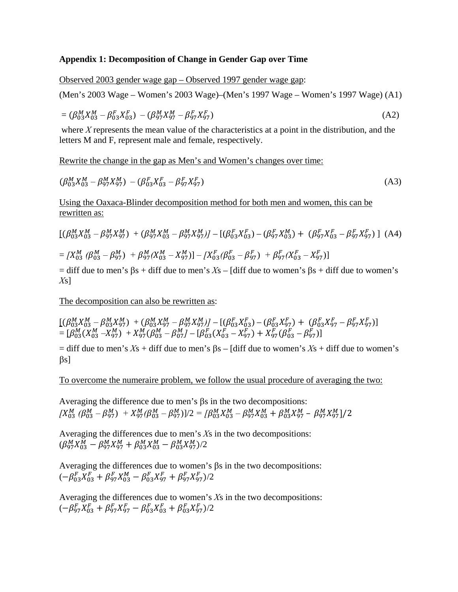# **Appendix 1: Decomposition of Change in Gender Gap over Time**

Observed 2003 gender wage gap – Observed 1997 gender wage gap:

(Men's 2003 Wage – Women's 2003 Wage)–(Men's 1997 Wage – Women's 1997 Wage) (A1)

$$
= (\beta_{03}^M X_{03}^M - \beta_{03}^F X_{03}^F) - (\beta_{97}^M X_{97}^M - \beta_{97}^F X_{97}^F)
$$
 (A2)

 where *X* represents the mean value of the characteristics at a point in the distribution, and the letters M and F, represent male and female, respectively.

Rewrite the change in the gap as Men's and Women's changes over time:

$$
(\beta_{03}^M X_{03}^M - \beta_{97}^M X_{97}^M) - (\beta_{03}^F X_{03}^F - \beta_{97}^F X_{97}^F) \tag{A3}
$$

Using the Oaxaca-Blinder decomposition method for both men and women, this can be rewritten as:

$$
\begin{split} &\left[ \left( \beta_{03}^M X_{03}^M - \beta_{97}^M X_{97}^M \right) \right. \\ &\left. + \left( \beta_{97}^M X_{97}^M - \beta_{97}^M X_{03}^M - \beta_{97}^M X_{97}^M \right) \right] - \left[ \left( \beta_{03}^F X_{03}^F \right) - \left( \beta_{97}^F X_{03}^M \right) \right. \\ &\left. + \left( \beta_{97}^F X_{97}^F - \beta_{97}^F X_{97}^M \right) \right] \left. \right. \\ &\left. - \left[ X_{03}^M \left( \beta_{03}^M - \beta_{97}^M \right) \right. \\ &\left. + \beta_{97}^M \left( X_{03}^M - X_{97}^M \right) \right] - \left[ X_{03}^F \left( \beta_{03}^F - \beta_{97}^F \right) \right. \\ &\left. + \beta_{97}^F \left( X_{03}^F - X_{97}^F \right) \right] \end{split} \tag{A4}
$$

 $=$  diff due to men's  $\beta$ s + diff due to men's *X*s – [diff due to women's  $\beta$ s + diff due to women's *X*s]

The decomposition can also be rewritten as:

$$
\begin{array}{l}\n\left[ \left( \beta_{03}^M X_{03}^M - \beta_{03}^M X_{97}^M \right) \right. \\
\left. + \left( \beta_{03}^M X_{97}^M \right) \right. \\
\left. + \left( \beta_{03}^M X_{97}^M \right) \right. \\
\left. + \left( \beta_{03}^M X_{97}^M \right) \right. \\
\left. + \left( \beta_{03}^M X_{97}^M \right) \right. \\
\left. + \left( \beta_{03}^M X_{97}^M \right) \right. \\
\left. + \left( \beta_{03}^M X_{97}^M \right) \right. \\
\left. + \left( \beta_{03}^M X_{97}^M \right) \right. \\
\left. + \left( \beta_{03}^M X_{97}^M \right) \right. \\
\left. + \left( \beta_{03}^M X_{97}^M \right) \right. \\
\left. + \left( \beta_{03}^M X_{97}^M \right) \right. \\
\left. + \left( \beta_{03}^M X_{97}^M \right) \right. \\
\left. + \left( \beta_{03}^M X_{97}^M \right) \right. \\
\left. + \left( \beta_{03}^M X_{97}^M \right) \right. \\
\left. + \left( \beta_{03}^M X_{97}^M \right) \right. \\
\left. + \left( \beta_{03}^M X_{97}^M \right) \right. \\
\left. + \left( \beta_{03}^M X_{97}^M \right) \right. \\
\left. + \left( \beta_{03}^M X_{97}^M \right) \right. \\
\left. + \left( \beta_{03}^M X_{97}^M \right) \right. \\
\left. + \left( \beta_{03}^M X_{97}^M \right) \right. \\
\left. + \left( \beta_{03}^M X_{97}^M \right) \right. \\
\left. + \left( \beta_{03}^M X_{97}^M \right) \right. \\
\left. + \left( \beta_{03}^M X_{97}^M \right) \right. \\
\left. + \left( \beta_{03}^M X_{97}^M \right) \right. \\
\left. + \left( \beta_{03}^M X_{97}^M \right) \right. \\
\left. + \left( \beta_{03
$$

 $=$  diff due to men's  $Xs$  + diff due to men's  $\beta s$  – [diff due to women's  $Xs$  + diff due to women's  $\beta$ s]

To overcome the numeraire problem, we follow the usual procedure of averaging the two:

Averaging the difference due to men's βs in the two decompositions:  $[X_{03}^M$  ( $\beta_{03}^M$  –  $\beta_{97}^M$ ) +  $X_{97}^M$ ( $\beta_{03}^M$  –  $\beta_{97}^M$ ) $]/2$  =  $[\beta_{03}^M X_{03}^M - \beta_{97}^M X_{93}^M + \beta_{03}^M X_{97}^M - \beta_{97}^M X_{97}^M]$ /2

Averaging the differences due to men's *X*s in the two decompositions:  $(\beta_{97}^M X_{03}^M - \beta_{97}^M X_{97}^M + \beta_{03}^M X_{03}^M - \beta_{03}^M X_{97}^M)/2$ 

Averaging the differences due to women's βs in the two decompositions:  $(-\beta_{03}^FX_{03}^F + \beta_{97}^FX_{03}^M - \beta_{03}^FX_{97}^F + \beta_{97}^FX_{97}^F)/2$ 

Averaging the differences due to women's *X*s in the two decompositions:  $(-\beta_{97}^F X_{03}^F + \beta_{97}^F X_{97}^F - \beta_{03}^F X_{03}^F + \beta_{03}^F X_{97}^F)/2$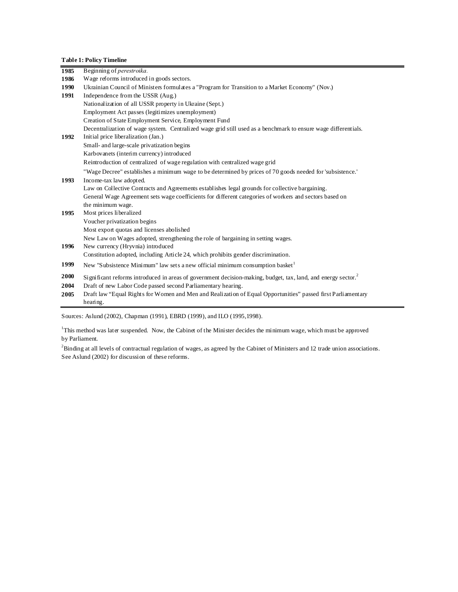**Table 1: Policy Timeline** 

| 1985 | Beginning of <i>perestroika</i> .                                                                                         |
|------|---------------------------------------------------------------------------------------------------------------------------|
| 1986 | Wage reforms introduced in goods sectors.                                                                                 |
| 1990 | Ukrainian Council of Ministers formulates a "Program for Transition to a Market Economy" (Nov.)                           |
| 1991 | Independence from the USSR (Aug.)                                                                                         |
|      | Nationalization of all USSR property in Ukraine (Sept.)                                                                   |
|      | Employment Act passes (legitimizes unemployment)                                                                          |
|      | Creation of State Employment Service, Employment Fund                                                                     |
|      | Decentralization of wage system. Centralized wage grid still used as a benchmark to ensure wage differentials.            |
| 1992 | Initial price liberalization (Jan.)                                                                                       |
|      | Small- and large-scale privatization begins                                                                               |
|      | Karbovanets (interim currency) introduced                                                                                 |
|      | Reintroduction of centralized of wage regulation with centralized wage grid                                               |
|      | "Wage Decree" establishes a minimum wage to be determined by prices of 70 goods needed for 'subsistence."                 |
| 1993 | Income-tax law adopted.                                                                                                   |
|      | Law on Collective Contracts and Agreements establishes legal grounds for collective bargaining.                           |
|      | General Wage Agreement sets wage coefficients for different categories of workers and sectors based on                    |
|      | the minimum wage.                                                                                                         |
| 1995 | Most prices liberalized                                                                                                   |
|      | Voucher privatization begins                                                                                              |
|      | Most export quotas and licenses abolished                                                                                 |
|      | New Law on Wages adopted, strengthening the role of bargaining in setting wages.                                          |
| 1996 | New currency (Hryvnia) introduced                                                                                         |
|      | Constitution adopted, including Article 24, which prohibits gender discrimination.                                        |
| 1999 | New "Subsistence Minimum" law sets a new official minimum consumption basket <sup>1</sup>                                 |
| 2000 | Significant reforms introduced in areas of government decision-making, budget, tax, land, and energy sector. <sup>2</sup> |
| 2004 | Draft of new Labor Code passed second Parliamentary hearing.                                                              |
| 2005 | Draft law "Equal Rights for Women and Men and Realization of Equal Opportunities" passed first Parliamentary              |
|      | hearing.                                                                                                                  |

Sources: Aslund (2002), Chapman (1991), EBRD (1999), and ILO (1995,1998).

<sup>1</sup>This method was later suspended. Now, the Cabinet of the Minister decides the minimum wage, which must be approved by Parliament.

2 Binding at all levels of contractual regulation of wages, as agreed by the Cabinet of Ministers and 12 trade union associations. See Aslund (2002) for discussion of these reforms.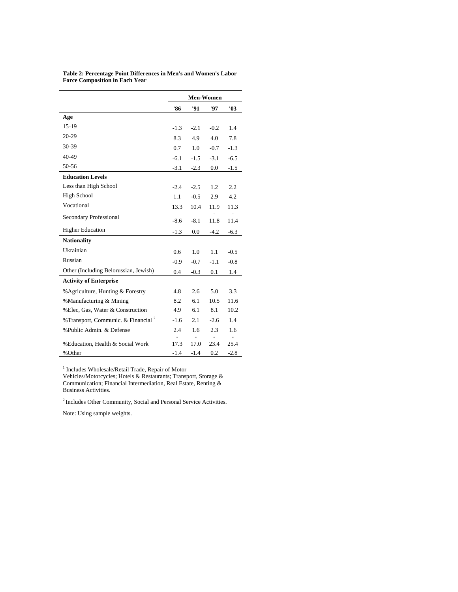|                                                 | Men-Women |        |        |        |  |  |  |  |  |  |
|-------------------------------------------------|-----------|--------|--------|--------|--|--|--|--|--|--|
|                                                 | '86       | '91    | '97    | '03    |  |  |  |  |  |  |
| Age                                             |           |        |        |        |  |  |  |  |  |  |
| $15-19$                                         | $-1.3$    | $-2.1$ | $-0.2$ | 1.4    |  |  |  |  |  |  |
| 20-29                                           | 8.3       | 4.9    | 4.0    | 7.8    |  |  |  |  |  |  |
| 30-39                                           | 0.7       | 1.0    | $-0.7$ | $-1.3$ |  |  |  |  |  |  |
| 40-49                                           | $-6.1$    | $-1.5$ | $-3.1$ | $-6.5$ |  |  |  |  |  |  |
| 50-56                                           | $-3.1$    | $-2.3$ | 0.0    | $-1.5$ |  |  |  |  |  |  |
| <b>Education Levels</b>                         |           |        |        |        |  |  |  |  |  |  |
| Less than High School                           | $-2.4$    | $-2.5$ | 1.2    | 2.2    |  |  |  |  |  |  |
| <b>High School</b>                              | 1.1       | $-0.5$ | 2.9    | 4.2    |  |  |  |  |  |  |
| Vocational                                      | 13.3      | 10.4   | 11.9   | 11.3   |  |  |  |  |  |  |
| Secondary Professional                          | $-8.6$    | $-8.1$ | 11.8   | 11.4   |  |  |  |  |  |  |
| <b>Higher Education</b>                         | $-1.3$    | 0.0    | $-4.2$ | $-6.3$ |  |  |  |  |  |  |
| <b>Nationality</b>                              |           |        |        |        |  |  |  |  |  |  |
| Ukrainian                                       | 0.6       | 1.0    | 1.1    | $-0.5$ |  |  |  |  |  |  |
| Russian                                         | $-0.9$    | $-0.7$ | $-1.1$ | $-0.8$ |  |  |  |  |  |  |
| Other (Including Belorussian, Jewish)           | 0.4       | $-0.3$ | 0.1    | 1.4    |  |  |  |  |  |  |
| <b>Activity of Enterprise</b>                   |           |        |        |        |  |  |  |  |  |  |
| % Agriculture, Hunting & Forestry               | 4.8       | 2.6    | 5.0    | 3.3    |  |  |  |  |  |  |
| %Manufacturing & Mining                         | 8.2       | 6.1    | 10.5   | 11.6   |  |  |  |  |  |  |
| %Elec, Gas, Water & Construction                | 4.9       | 6.1    | 8.1    | 10.2   |  |  |  |  |  |  |
| % Transport, Communic. & Financial <sup>2</sup> | $-1.6$    | 2.1    | $-2.6$ | 1.4    |  |  |  |  |  |  |
| %Public Admin, & Defense                        | 2.4       | 1.6    | 2.3    | 1.6    |  |  |  |  |  |  |
| % Education, Health & Social Work               | 17.3      | 17.0   | 23.4   | 25.4   |  |  |  |  |  |  |
| %Other                                          | $-1.4$    | $-1.4$ | 0.2    | $-2.8$ |  |  |  |  |  |  |

**Table 2: Percentage Point Differences in Men's and Women's Labor Force Composition in Each Year** 

<sup>1</sup> Includes Wholesale/Retail Trade, Repair of Motor

Vehicles/Motorcycles; Hotels & Restaurants; Transport, Storage & Communication; Financial Intermediation, Real Estate, Renting & Business Activities.

2 Includes Other Community, Social and Personal Service Activities.

Note: Using sample weights.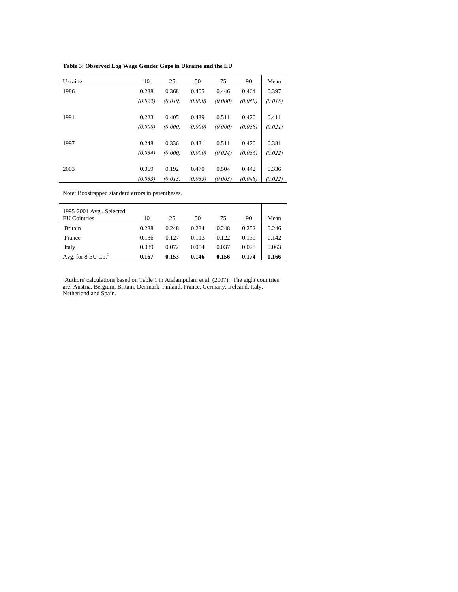**Table 3: Observed Log Wage Gender Gaps in Ukraine and the EU** 

| Ukraine | 10      | 25      | 50      | 75      | 90      | Mean    |
|---------|---------|---------|---------|---------|---------|---------|
| 1986    | 0.288   | 0.368   | 0.405   | 0.446   | 0.464   | 0.397   |
|         | (0.022) | (0.019) | (0.000) | (0.000) | (0.060) | (0.015) |
| 1991    | 0.223   | 0.405   | 0.439   | 0.511   | 0.470   | 0.411   |
|         | (0.000) | (0.000) | (0.000) | (0.000) | (0.038) | (0.021) |
| 1997    | 0.248   | 0.336   | 0.431   | 0.511   | 0.470   | 0.381   |
|         | (0.034) | (0.000) | (0.000) | (0.024) | (0.036) | (0.022) |
| 2003    | 0.069   | 0.192   | 0.470   | 0.504   | 0.442   | 0.336   |
|         | (0.033) | (0.013) | (0.033) | (0.003) | (0.048) | (0.022) |

Note: Boostrapped standard errors in parentheses.

| 1995-2001 Avg., Selected<br><b>EU</b> Cointries |       |       |       |       |       |       |
|-------------------------------------------------|-------|-------|-------|-------|-------|-------|
|                                                 | 10    | 25    | 50    | 75    | 90    | Mean  |
| <b>Britain</b>                                  | 0.238 | 0.248 | 0.234 | 0.248 | 0.252 | 0.246 |
| France                                          | 0.136 | 0.127 | 0.113 | 0.122 | 0.139 | 0.142 |
| Italy                                           | 0.089 | 0.072 | 0.054 | 0.037 | 0.028 | 0.063 |
| Avg. for $8 \text{ EU Co.}^1$                   | 0.167 | 0.153 | 0.146 | 0.156 | 0.174 | 0.166 |

<sup>1</sup>Authors' calculations based on Table 1 in Aralampulam et al. (2007). The eight countries are: Austria, Belgium, Britain, Denmark, Finland, France, Germany, Ireleand, Italy, Netherland and Spain.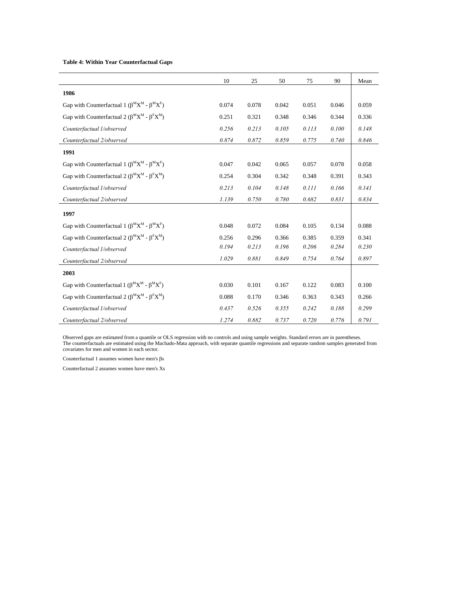#### **Table 4: Within Year Counterfactual Gaps**

|                                                                                                         | 10    | 25    | 50    | 75    | 90    | Mean  |
|---------------------------------------------------------------------------------------------------------|-------|-------|-------|-------|-------|-------|
| 1986                                                                                                    |       |       |       |       |       |       |
| Gap with Counterfactual 1 ( $\beta^M X^M - \beta^M X^F$ )                                               | 0.074 | 0.078 | 0.042 | 0.051 | 0.046 | 0.059 |
| Gap with Counterfactual 2 ( $\beta^M X^M - \beta^F X^M$ )                                               | 0.251 | 0.321 | 0.348 | 0.346 | 0.344 | 0.336 |
| Counterfactual 1/observed                                                                               | 0.256 | 0.213 | 0.105 | 0.113 | 0.100 | 0.148 |
| Counterfactual 2/observed                                                                               | 0.874 | 0.872 | 0.859 | 0.775 | 0.740 | 0.846 |
| 1991                                                                                                    |       |       |       |       |       |       |
| Gap with Counterfactual 1 ( $\beta^M X^M$ - $\beta^M X^F$ )                                             | 0.047 | 0.042 | 0.065 | 0.057 | 0.078 | 0.058 |
| Gap with Counterfactual 2 ( $\beta^M X^M - \beta^F X^M$ )                                               | 0.254 | 0.304 | 0.342 | 0.348 | 0.391 | 0.343 |
| Counterfactual 1/observed                                                                               | 0.213 | 0.104 | 0.148 | 0.111 | 0.166 | 0.141 |
| Counterfactual 2/observed                                                                               | 1.139 | 0.750 | 0.780 | 0.682 | 0.831 | 0.834 |
| 1997                                                                                                    |       |       |       |       |       |       |
| Gap with Counterfactual 1 ( $\beta^M X^M - \beta^M X^F$ )                                               | 0.048 | 0.072 | 0.084 | 0.105 | 0.134 | 0.088 |
| Gap with Counterfactual 2 ( $\beta^M X^M - \beta^F X^M$ )                                               | 0.256 | 0.296 | 0.366 | 0.385 | 0.359 | 0.341 |
| Counterfactual 1/observed                                                                               | 0.194 | 0.213 | 0.196 | 0.206 | 0.284 | 0.230 |
| Counterfactual 2/observed                                                                               | 1.029 | 0.881 | 0.849 | 0.754 | 0.764 | 0.897 |
| 2003                                                                                                    |       |       |       |       |       |       |
| Gap with Counterfactual 1 ( $\beta$ <sup>M</sup> X <sup>M</sup> - $\beta$ <sup>M</sup> X <sup>F</sup> ) | 0.030 | 0.101 | 0.167 | 0.122 | 0.083 | 0.100 |
| Gap with Counterfactual 2 ( $\beta^M X^M - \beta^F X^M$ )                                               | 0.088 | 0.170 | 0.346 | 0.363 | 0.343 | 0.266 |
| Counterfactual 1/observed                                                                               | 0.437 | 0.526 | 0.355 | 0.242 | 0.188 | 0.299 |
| Counterfactual 2/observed                                                                               | 1.274 | 0.882 | 0.737 | 0.720 | 0.776 | 0.791 |

Observed gaps are estimated from a quantile or OLS regression with no controls and using sample weights. Standard errors are in parentheses. The counterfactuals are estimated using the Machado-Mata approach, with separate quantile regressions and separate random samples generated from covariates for men and women in each sector.

Counterfactual 1 assumes women have men's βs

Counterfactual 2 assumes women have men's Xs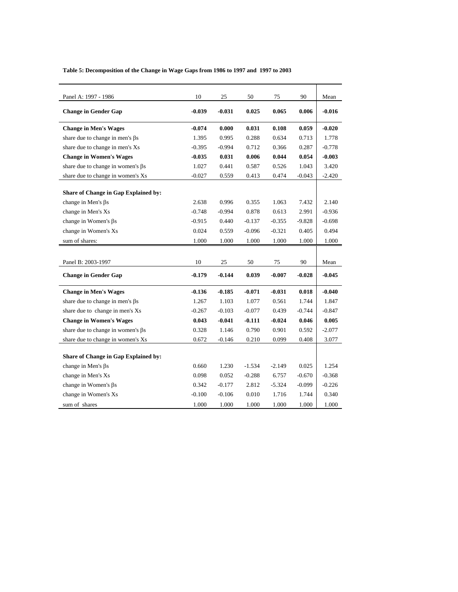**Table 5: Decomposition of the Change in Wage Gaps from 1986 to 1997 and 1997 to 2003** 

| Panel A: 1997 - 1986                     | 10       | 25       | 50       | 75       | 90       | Mean     |
|------------------------------------------|----------|----------|----------|----------|----------|----------|
| <b>Change in Gender Gap</b>              | $-0.039$ | $-0.031$ | 0.025    | 0.065    | 0.006    | $-0.016$ |
| <b>Change in Men's Wages</b>             | $-0.074$ | 0.000    | 0.031    | 0.108    | 0.059    | $-0.020$ |
| share due to change in men's $\beta s$   | 1.395    | 0.995    | 0.288    | 0.634    | 0.713    | 1.778    |
| share due to change in men's Xs          | $-0.395$ | $-0.994$ | 0.712    | 0.366    | 0.287    | $-0.778$ |
| <b>Change in Women's Wages</b>           | $-0.035$ | 0.031    | 0.006    | 0.044    | 0.054    | $-0.003$ |
| share due to change in women's $\beta s$ | 1.027    | 0.441    | 0.587    | 0.526    | 1.043    | 3.420    |
| share due to change in women's Xs        | $-0.027$ | 0.559    | 0.413    | 0.474    | $-0.043$ | $-2.420$ |
|                                          |          |          |          |          |          |          |
| Share of Change in Gap Explained by:     |          |          |          |          |          |          |
| change in Men's $\beta s$                | 2.638    | 0.996    | 0.355    | 1.063    | 7.432    | 2.140    |
| change in Men's Xs                       | $-0.748$ | $-0.994$ | 0.878    | 0.613    | 2.991    | $-0.936$ |
| change in Women's $\beta s$              | $-0.915$ | 0.440    | $-0.137$ | $-0.355$ | $-9.828$ | $-0.698$ |
| change in Women's Xs                     | 0.024    | 0.559    | $-0.096$ | $-0.321$ | 0.405    | 0.494    |
| sum of shares:                           | 1.000    | 1.000    | 1.000    | 1.000    | 1.000    | 1.000    |
|                                          |          |          |          |          |          |          |
| Panel B: 2003-1997                       | 10       | 25       | 50       | 75       | 90       | Mean     |
| <b>Change in Gender Gap</b>              | $-0.179$ | $-0.144$ | 0.039    | $-0.007$ | $-0.028$ | $-0.045$ |
| <b>Change in Men's Wages</b>             | $-0.136$ | $-0.185$ | $-0.071$ | $-0.031$ | 0.018    | $-0.040$ |
| share due to change in men's $\beta s$   | 1.267    | 1.103    | 1.077    | 0.561    | 1.744    | 1.847    |
| share due to change in men's Xs          | $-0.267$ | $-0.103$ | $-0.077$ | 0.439    | $-0.744$ | $-0.847$ |
| <b>Change in Women's Wages</b>           | 0.043    | $-0.041$ | $-0.111$ | $-0.024$ | 0.046    | 0.005    |
| share due to change in women's $\beta s$ | 0.328    | 1.146    | 0.790    | 0.901    | 0.592    | $-2.077$ |
| share due to change in women's Xs        | 0.672    | $-0.146$ | 0.210    | 0.099    | 0.408    | 3.077    |
|                                          |          |          |          |          |          |          |
| Share of Change in Gap Explained by:     |          |          |          |          |          |          |
| change in Men's $\beta s$                | 0.660    | 1.230    | $-1.534$ | $-2.149$ | 0.025    | 1.254    |
| change in Men's Xs                       | 0.098    | 0.052    | $-0.288$ | 6.757    | $-0.670$ | $-0.368$ |
| change in Women's $\beta s$              | 0.342    | $-0.177$ | 2.812    | $-5.324$ | $-0.099$ | $-0.226$ |
| change in Women's Xs                     | $-0.100$ | $-0.106$ | 0.010    | 1.716    | 1.744    | 0.340    |
| sum of shares                            | 1.000    | 1.000    | 1.000    | 1.000    | 1.000    | 1.000    |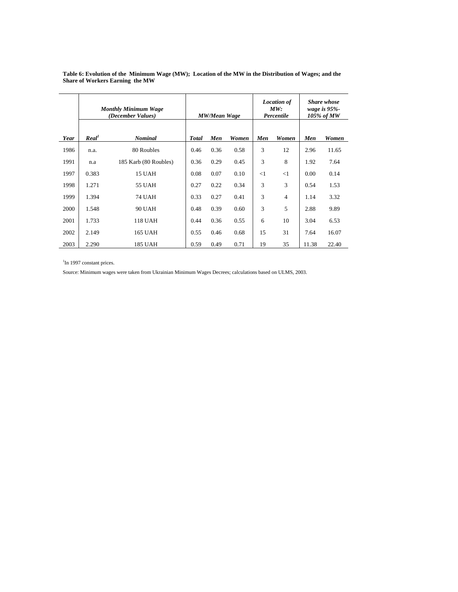|      |                   | <b>Monthly Minimum Wage</b><br>(December Values) |              | <b>MW/Mean Wage</b> |       |          | <b>Location</b> of<br>MW:<br>Percentile | <b>Share whose</b><br>wage is $95%$ -<br>105% of MW |       |  |  |
|------|-------------------|--------------------------------------------------|--------------|---------------------|-------|----------|-----------------------------------------|-----------------------------------------------------|-------|--|--|
| Year | Real <sup>1</sup> | <b>Nominal</b>                                   | <b>Total</b> | Men                 | Women | Men      | Women                                   | Men                                                 | Women |  |  |
| 1986 | n.a.              | 80 Roubles                                       | 0.46         | 0.36                | 0.58  | 3        | 12                                      | 2.96                                                | 11.65 |  |  |
| 1991 | n.a               | 185 Karb (80 Roubles)                            | 0.36         | 0.29                | 0.45  | 3        | 8                                       | 1.92                                                | 7.64  |  |  |
| 1997 | 0.383             | 15 UAH                                           | 0.08         | 0.07                | 0.10  | $\leq$ 1 | <1                                      | 0.00                                                | 0.14  |  |  |
| 1998 | 1.271             | 55 UAH                                           | 0.27         | 0.22                | 0.34  | 3        | 3                                       | 0.54                                                | 1.53  |  |  |
| 1999 | 1.394             | <b>74 UAH</b>                                    | 0.33         | 0.27                | 0.41  | 3        | $\overline{4}$                          | 1.14                                                | 3.32  |  |  |
| 2000 | 1.548             | <b>90 UAH</b>                                    | 0.48         | 0.39                | 0.60  | 3        | 5                                       | 2.88                                                | 9.89  |  |  |
| 2001 | 1.733             | 118 UAH                                          | 0.44         | 0.36                | 0.55  | 6        | 10                                      | 3.04                                                | 6.53  |  |  |
| 2002 | 2.149             | 165 UAH                                          | 0.55         | 0.46                | 0.68  | 15       | 31                                      | 7.64                                                | 16.07 |  |  |
| 2003 | 2.290             | 185 UAH                                          | 0.59         | 0.49                | 0.71  | 19       | 35                                      | 11.38                                               | 22.40 |  |  |

**Table 6: Evolution of the Minimum Wage (MW); Location of the MW in the Distribution of Wages; and the Share of Workers Earning the MW** 

<sup>1</sup>In 1997 constant prices.

Source: Minimum wages were taken from Ukrainian Minimum Wages Decrees; calculations based on ULMS, 2003.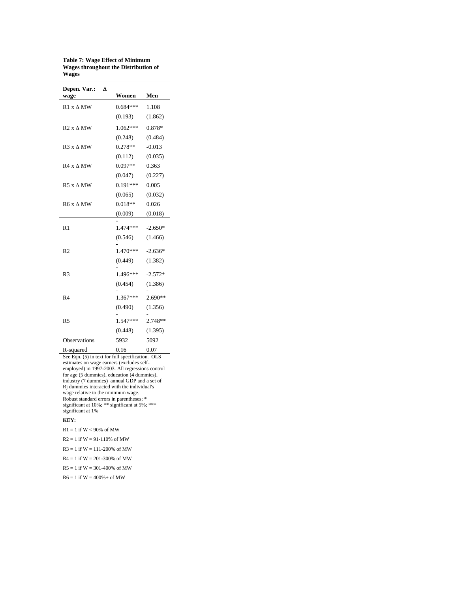**Table 7: Wage Effect of Minimum Wages throughout the Distribution of Wages** 

| Depen. Var.:<br>Δ<br>wage | Women      | Men       |
|---------------------------|------------|-----------|
| $R1 x \Delta MW$          | $0.684***$ | 1.108     |
|                           | (0.193)    | (1.862)   |
| $R2x \wedge MW$           | $1.062***$ | 0.878*    |
|                           | (0.248)    | (0.484)   |
| $R3x \wedge MW$           | $0.278**$  | $-0.013$  |
|                           | (0.112)    | (0.035)   |
| $R4 \times \Delta MW$     | $0.097**$  | 0.363     |
|                           | (0.047)    | (0.227)   |
| $R5x \wedge MW$           | $0.191***$ | 0.005     |
|                           | (0.065)    | (0.032)   |
| $R6x \wedge MW$           | $0.018**$  | 0.026     |
|                           | (0.009)    | (0.018)   |
| R <sub>1</sub>            | 1.474 ***  | $-2.650*$ |
|                           | (0.546)    | (1.466)   |
| R <sub>2</sub>            | 1.470***   | $-2.636*$ |
|                           | (0.449)    | (1.382)   |
| R <sub>3</sub>            | $1.496***$ | $-2.572*$ |
|                           | (0.454)    | (1.386)   |
| R <sub>4</sub>            | $1.367***$ | $2.690**$ |
|                           | (0.490)    | (1.356)   |
| R <sub>5</sub>            | $1.547***$ | 2.748**   |
|                           | (0.448)    | (1.395)   |
| <b>Observations</b>       | 5932       | 5092      |

R-squared 0.16 0.07 See Eqn. (5) in text for full specification. OLS estimates on wage earners (excludes selfemployed) in 1997-2003. All regressions control for age (5 dummies), education (4 dummies), industry (7 dummies) annual GDP and a set of Rj dummies interacted with the individual's wage relative to the minimum wage. Robust standard errors in parentheses; \* significant at 10%; \*\* significant at 5%; \*\*\* significant at 1%

#### **KEY:**

- $R1 = 1$  if  $W < 90\%$  of MW
- $R2 = 1$  if  $W = 91 110\%$  of MW
- $R3 = 1$  if  $W = 111 200\%$  of MW
- $R4 = 1$  if  $W = 201 300\%$  of MW
- $R5 = 1$  if  $W = 301 400\%$  of MW
- $R6 = 1$  if  $W = 400% +$  of MW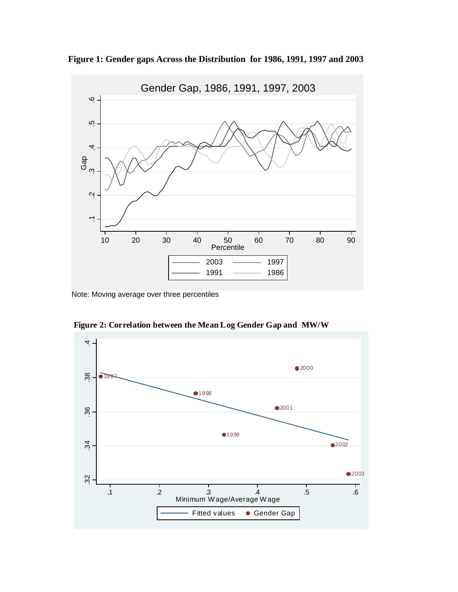





**Figure 2: Correlation between the Mean Log Gender Gap and MW/W**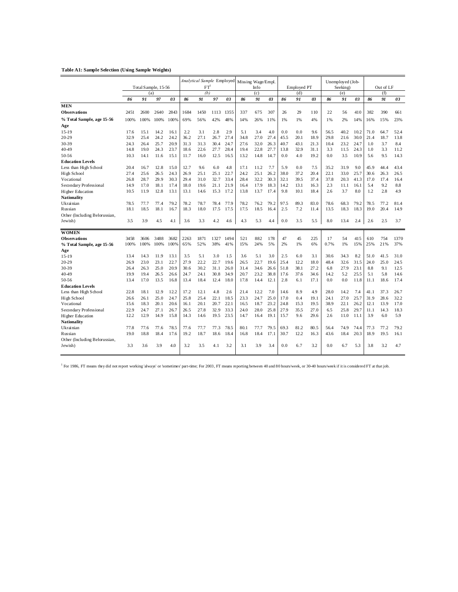#### **Table A1: Sample Selection (Using Sample Weights)**

| FT<br>Info<br>Out of LF<br>Total Sample, 15-56<br><b>Employed PT</b><br>Seeking)<br>(b)<br>(f)<br>(a)<br>(c)<br>(d)<br>(e)<br>91<br>03<br>91<br>03<br>91<br>03<br>91<br>03<br>91<br>97<br>03<br>86<br>86<br>86<br>91<br>03<br>86<br>97<br>86<br>86<br><b>MEN</b><br>2843<br>1684<br>1450<br>1113<br>1355<br>337<br>675<br>307<br>26<br>29<br>110<br>22<br>410<br>382<br>390<br>661<br>Observations<br>2451<br>2600<br>2640<br>56<br>% Total Sample, age 15-56<br>100%<br>100%<br>69%<br>56%<br>42%<br>48%<br>14%<br>26%<br>11%<br>1%<br>4%<br>1%<br>2%<br>15%<br>100%<br>100%<br>1%<br>14%<br>16%<br>Age<br>15.1<br>14.2<br>2.2<br>3.1<br>2.8<br>2.9<br>3.4<br>4.0<br>0.0<br>0.0<br>9.6<br>40.2<br>10.2<br>71.0<br>64.7<br>$15-19$<br>17.6<br>16.1<br>5.1<br>56.5<br>20-29<br>32.9<br>25.4<br>24.2<br>24.2<br>36.2<br>27.1<br>27.4<br>34.8<br>27.0<br>27.4<br>45.5<br>20.1<br>18.9<br>29.8<br>21.6<br>30.0<br>21.4<br>18.7<br>26.7<br>25.7<br>31.3<br>3.7<br>8.4<br>30-39<br>24.3<br>26.4<br>20.9<br>31.3<br>30.4<br>24.7<br>27.6<br>32.0<br>26.3<br>40.7<br>21.3<br>10.4<br>23.2<br>24.7<br>1.0<br>43.1<br>22.6<br>22.8<br>24.3<br>19.0<br>24.3<br>23.7<br>18.6<br>27.7<br>28.4<br>19.4<br>27.7<br>13.8<br>32.9<br>31.1<br>3.3<br>11.5<br>1.0<br>3.3<br>40-49<br>14.8<br>3.5<br>10.9<br>9.5<br>50-56<br>10.3<br>14.1<br>11.6<br>15.1<br>11.7<br>16.0<br>12.5<br>16.5<br>13.2<br>14.8<br>14.7<br>0.0<br>4.0<br>19.2<br>0.0<br>5.6<br><b>Education Levels</b><br>5.9<br>31.9<br>45.9<br>12.8<br>15.0<br>12.7<br>9.6<br>6.0<br>4.8<br>11.2<br>7.7<br>0.0<br>7.5<br>35.2<br>9.0<br>44.4<br>Less than High School<br>20.4<br>16.7<br>17.1<br>High School<br>27.4<br>25.6<br>26.5<br>24.3<br>26.9<br>25.1<br>25.1<br>22.7<br>24.2<br>25.1<br>26.2<br>38.0<br>37.2<br>20.4<br>22.1<br>33.0<br>25.7<br>30.6<br>26.3<br>29.9<br>30.3<br>29.4<br>31.0<br>32.2<br>30.3<br>32.1<br>37.4<br>Vocational<br>26.8<br>28.7<br>32.7<br>33.4<br>28.4<br>39.5<br>37.8<br>20.3<br>41.3<br>17.0<br>17.4<br>8.8<br>Secondary Professional<br>17.0<br>18.1<br>17.4<br>18.0<br>21.9<br>2.3<br>5.4<br>9.2<br>14.9<br>19.6<br>21.1<br>16.4<br>17.9<br>18.3<br>14.2<br>13.1<br>16.3<br>11.1<br>16.1<br>3.7<br>8.0<br>2.8<br>4.9<br>10.5<br>11.9<br>12.8<br>13.1<br>13.1<br>15.3<br>17.2<br>13.8<br>13.7<br>17.4<br>9.8<br>10.1<br>18.4<br>2.6<br>1.2<br>Higher Education<br>14.6<br><b>Nationality</b><br>Ukrainian<br>77.4<br>79.2<br>78.2<br>78.7<br>77.9<br>97.5<br>89.3<br>83.0<br>78.6<br>79.2<br>77.2<br>78.5<br>77.7<br>78.4<br>78.2<br>76.2<br>79.2<br>68.3<br>78.5<br>Russian<br>18.5<br>18.1<br>16.7<br>18.3<br>18.0<br>17.5<br>17.5<br>18.5<br>2.5<br>7.2<br>11.4<br>13.5<br>18.3<br>18.3<br>19.0<br>20.4<br>18.1<br>17.5<br>16.4<br>Other (Including Belorussian,<br>3.7<br>3.5<br>3.9<br>4.5<br>3.6<br>3.3<br>4.2<br>4.3<br>5.3<br>0.0<br>3.5<br>5.5<br>8.0<br>13.4<br>2.4<br>2.6<br>2.5<br>Jewish)<br>4.1<br>4.6<br>4.4<br><b>WOMEN</b><br>3606<br>3488<br>3682<br>2263<br>1871<br>1327<br>1494<br>521<br>882<br>178<br>47<br>45<br>225<br>17<br>54<br>415<br>610<br>754<br><b>Observations</b><br>3458<br>100%<br>65%<br>38%<br>24%<br>5%<br>1%<br>6%<br>0.7%<br>1%<br>25%<br>21%<br>37%<br>% Total Sample, age 15-56<br>100%<br>100%<br>100%<br>52%<br>41%<br>15%<br>2%<br>15%<br>Age<br>5.1<br>3.0<br>5.1<br>2.5<br>14.3<br>11.9<br>13.1<br>3.5<br>1.5<br>3.6<br>3.0<br>6.0<br>3.1<br>30.6<br>34.3<br>8.2<br>51.0<br>41.5<br>31.0<br>13.4<br>$15-19$<br>23.0<br>23.1<br>22.7<br>27.9<br>22.2<br>22.7<br>19.6<br>22.7<br>25.4<br>18.0<br>48.4<br>32.6<br>31.5<br>24.0<br>25.0<br>24.5<br>20-29<br>26.9<br>26.5<br>19.6<br>12.2<br>25.0<br>20.9<br>30.6<br>51.8<br>27.2<br>12.5<br>30-39<br>26.3<br>30.2<br>31.1<br>26.0<br>31.4<br>34.6<br>38.1<br>6.8<br>27.9<br>23.1<br>8.8<br>9.1<br>26.4<br>26.6<br>24.7<br>24.1<br>30.8<br>34.9<br>20.7<br>23.2<br>38.8<br>17.6<br>37.6<br>14.2<br>5.2<br>25.5<br>5.1<br>5.8<br>14.6<br>40-49<br>19.9<br>19.4<br>26.5<br>26.6<br>34.6<br>50-56<br>17.0<br>2.8<br>17.4<br>13.4<br>13.5<br>16.8<br>13.4<br>18.4<br>12.4<br>18.0<br>17.8<br>14.4<br>12.1<br>6.1<br>17.1<br>0.0<br>0.0<br>11.8<br>11.1<br>18.6<br><b>Education Levels</b><br>18.1<br>12.2<br>17.2<br>2.6<br>21.4<br>8.9<br>4.9<br>28.0<br>7.4<br>41.1<br>37.3<br>Less than High School<br>22.8<br>12.9<br>12.1<br>4.8<br>12.2<br>7.0<br>14.6<br>14.2<br>26.7<br>25.0<br>25.8<br>25.0<br>25.7<br>31.9<br>28.6<br>32.2<br>High School<br>26.1<br>24.7<br>25.4<br>22.1<br>18.5<br>23.3<br>24.7<br>17.0<br>0.4<br>19.1<br>24.1<br>27.0<br>26.6<br>20.1<br>20.1<br>22.1<br>23.2<br>24.8<br>38.9<br>12.1<br>13.9<br>17.0<br>Vocational<br>15.6<br>18.3<br>20.6<br>16.1<br>20.7<br>16.5<br>18.7<br>15.3<br>19.5<br>22.1<br>26.2<br>18.3<br>27.1<br>26.5<br>27.8<br>33.3<br>24.0<br>25.8<br>27.9<br>27.0<br>25.8<br>29.7<br>Secondary Professional<br>22.9<br>24.7<br>26.7<br>32.9<br>28.0<br>35.5<br>6.5<br>11.1<br>14.3<br>5.9<br>3.9<br>6.0<br>12.2<br>12.9<br>14.9<br>15.8<br>14.3<br>14.6<br>19.5<br>23.5<br>14.7<br>16.4<br>19.1<br>15.7<br>9.6<br>29.6<br>2.6<br>11.0<br>11.1<br>Higher Education<br>Nationality<br>Ukrainian<br>77.6<br>77.6<br>78.5<br>77.6<br>77.3<br>78.5<br>80.1<br>79.5<br>69.3<br>81.2<br>80.5<br>56.4<br>74.9<br>74.4<br>77.3<br>77.2<br>77.8<br>77.7<br>77.7 |         |      |      |      |      | Analytical Sample Employed |      |      | Missing Wage/Empl. |      |      |      |      |      | Unemployed (Job- |      |      |      |      |      |      |
|----------------------------------------------------------------------------------------------------------------------------------------------------------------------------------------------------------------------------------------------------------------------------------------------------------------------------------------------------------------------------------------------------------------------------------------------------------------------------------------------------------------------------------------------------------------------------------------------------------------------------------------------------------------------------------------------------------------------------------------------------------------------------------------------------------------------------------------------------------------------------------------------------------------------------------------------------------------------------------------------------------------------------------------------------------------------------------------------------------------------------------------------------------------------------------------------------------------------------------------------------------------------------------------------------------------------------------------------------------------------------------------------------------------------------------------------------------------------------------------------------------------------------------------------------------------------------------------------------------------------------------------------------------------------------------------------------------------------------------------------------------------------------------------------------------------------------------------------------------------------------------------------------------------------------------------------------------------------------------------------------------------------------------------------------------------------------------------------------------------------------------------------------------------------------------------------------------------------------------------------------------------------------------------------------------------------------------------------------------------------------------------------------------------------------------------------------------------------------------------------------------------------------------------------------------------------------------------------------------------------------------------------------------------------------------------------------------------------------------------------------------------------------------------------------------------------------------------------------------------------------------------------------------------------------------------------------------------------------------------------------------------------------------------------------------------------------------------------------------------------------------------------------------------------------------------------------------------------------------------------------------------------------------------------------------------------------------------------------------------------------------------------------------------------------------------------------------------------------------------------------------------------------------------------------------------------------------------------------------------------------------------------------------------------------------------------------------------------------------------------------------------------------------------------------------------------------------------------------------------------------------------------------------------------------------------------------------------------------------------------------------------------------------------------------------------------------------------------------------------------------------------------------------------------------------------------------------------------------------------------------------------------------------------------------------------------------------------------------------------------------------------------------------------------------------------------------------------------------------------------------------------------------------------------------------------------------------------------------------------------------------------------------------------------------------------------------------------------------------------------------------------------------------------------------------------------------------------------------------------------------------------------------------------------------------------------------------------------------------------------------------------------------------------------------------------------------------------------------------------------------------------------------------------------------------------------------------------------------------------------------------------------------|---------|------|------|------|------|----------------------------|------|------|--------------------|------|------|------|------|------|------------------|------|------|------|------|------|------|
|                                                                                                                                                                                                                                                                                                                                                                                                                                                                                                                                                                                                                                                                                                                                                                                                                                                                                                                                                                                                                                                                                                                                                                                                                                                                                                                                                                                                                                                                                                                                                                                                                                                                                                                                                                                                                                                                                                                                                                                                                                                                                                                                                                                                                                                                                                                                                                                                                                                                                                                                                                                                                                                                                                                                                                                                                                                                                                                                                                                                                                                                                                                                                                                                                                                                                                                                                                                                                                                                                                                                                                                                                                                                                                                                                                                                                                                                                                                                                                                                                                                                                                                                                                                                                                                                                                                                                                                                                                                                                                                                                                                                                                                                                                                                                                                                                                                                                                                                                                                                                                                                                                                                                                                                                                                                            |         |      |      |      |      |                            |      |      |                    |      |      |      |      |      |                  |      |      |      |      |      |      |
|                                                                                                                                                                                                                                                                                                                                                                                                                                                                                                                                                                                                                                                                                                                                                                                                                                                                                                                                                                                                                                                                                                                                                                                                                                                                                                                                                                                                                                                                                                                                                                                                                                                                                                                                                                                                                                                                                                                                                                                                                                                                                                                                                                                                                                                                                                                                                                                                                                                                                                                                                                                                                                                                                                                                                                                                                                                                                                                                                                                                                                                                                                                                                                                                                                                                                                                                                                                                                                                                                                                                                                                                                                                                                                                                                                                                                                                                                                                                                                                                                                                                                                                                                                                                                                                                                                                                                                                                                                                                                                                                                                                                                                                                                                                                                                                                                                                                                                                                                                                                                                                                                                                                                                                                                                                                            |         |      |      |      |      |                            |      |      |                    |      |      |      |      |      |                  |      |      |      |      |      |      |
|                                                                                                                                                                                                                                                                                                                                                                                                                                                                                                                                                                                                                                                                                                                                                                                                                                                                                                                                                                                                                                                                                                                                                                                                                                                                                                                                                                                                                                                                                                                                                                                                                                                                                                                                                                                                                                                                                                                                                                                                                                                                                                                                                                                                                                                                                                                                                                                                                                                                                                                                                                                                                                                                                                                                                                                                                                                                                                                                                                                                                                                                                                                                                                                                                                                                                                                                                                                                                                                                                                                                                                                                                                                                                                                                                                                                                                                                                                                                                                                                                                                                                                                                                                                                                                                                                                                                                                                                                                                                                                                                                                                                                                                                                                                                                                                                                                                                                                                                                                                                                                                                                                                                                                                                                                                                            |         |      |      |      |      |                            |      |      |                    |      |      |      |      |      |                  |      |      |      |      |      |      |
|                                                                                                                                                                                                                                                                                                                                                                                                                                                                                                                                                                                                                                                                                                                                                                                                                                                                                                                                                                                                                                                                                                                                                                                                                                                                                                                                                                                                                                                                                                                                                                                                                                                                                                                                                                                                                                                                                                                                                                                                                                                                                                                                                                                                                                                                                                                                                                                                                                                                                                                                                                                                                                                                                                                                                                                                                                                                                                                                                                                                                                                                                                                                                                                                                                                                                                                                                                                                                                                                                                                                                                                                                                                                                                                                                                                                                                                                                                                                                                                                                                                                                                                                                                                                                                                                                                                                                                                                                                                                                                                                                                                                                                                                                                                                                                                                                                                                                                                                                                                                                                                                                                                                                                                                                                                                            |         |      |      |      |      |                            |      |      |                    |      |      |      |      |      |                  |      |      |      |      |      |      |
|                                                                                                                                                                                                                                                                                                                                                                                                                                                                                                                                                                                                                                                                                                                                                                                                                                                                                                                                                                                                                                                                                                                                                                                                                                                                                                                                                                                                                                                                                                                                                                                                                                                                                                                                                                                                                                                                                                                                                                                                                                                                                                                                                                                                                                                                                                                                                                                                                                                                                                                                                                                                                                                                                                                                                                                                                                                                                                                                                                                                                                                                                                                                                                                                                                                                                                                                                                                                                                                                                                                                                                                                                                                                                                                                                                                                                                                                                                                                                                                                                                                                                                                                                                                                                                                                                                                                                                                                                                                                                                                                                                                                                                                                                                                                                                                                                                                                                                                                                                                                                                                                                                                                                                                                                                                                            |         |      |      |      |      |                            |      |      |                    |      |      |      |      |      |                  |      |      |      |      |      |      |
|                                                                                                                                                                                                                                                                                                                                                                                                                                                                                                                                                                                                                                                                                                                                                                                                                                                                                                                                                                                                                                                                                                                                                                                                                                                                                                                                                                                                                                                                                                                                                                                                                                                                                                                                                                                                                                                                                                                                                                                                                                                                                                                                                                                                                                                                                                                                                                                                                                                                                                                                                                                                                                                                                                                                                                                                                                                                                                                                                                                                                                                                                                                                                                                                                                                                                                                                                                                                                                                                                                                                                                                                                                                                                                                                                                                                                                                                                                                                                                                                                                                                                                                                                                                                                                                                                                                                                                                                                                                                                                                                                                                                                                                                                                                                                                                                                                                                                                                                                                                                                                                                                                                                                                                                                                                                            |         |      |      |      |      |                            |      |      |                    |      |      |      |      |      |                  |      |      |      |      |      | 23%  |
|                                                                                                                                                                                                                                                                                                                                                                                                                                                                                                                                                                                                                                                                                                                                                                                                                                                                                                                                                                                                                                                                                                                                                                                                                                                                                                                                                                                                                                                                                                                                                                                                                                                                                                                                                                                                                                                                                                                                                                                                                                                                                                                                                                                                                                                                                                                                                                                                                                                                                                                                                                                                                                                                                                                                                                                                                                                                                                                                                                                                                                                                                                                                                                                                                                                                                                                                                                                                                                                                                                                                                                                                                                                                                                                                                                                                                                                                                                                                                                                                                                                                                                                                                                                                                                                                                                                                                                                                                                                                                                                                                                                                                                                                                                                                                                                                                                                                                                                                                                                                                                                                                                                                                                                                                                                                            |         |      |      |      |      |                            |      |      |                    |      |      |      |      |      |                  |      |      |      |      |      |      |
|                                                                                                                                                                                                                                                                                                                                                                                                                                                                                                                                                                                                                                                                                                                                                                                                                                                                                                                                                                                                                                                                                                                                                                                                                                                                                                                                                                                                                                                                                                                                                                                                                                                                                                                                                                                                                                                                                                                                                                                                                                                                                                                                                                                                                                                                                                                                                                                                                                                                                                                                                                                                                                                                                                                                                                                                                                                                                                                                                                                                                                                                                                                                                                                                                                                                                                                                                                                                                                                                                                                                                                                                                                                                                                                                                                                                                                                                                                                                                                                                                                                                                                                                                                                                                                                                                                                                                                                                                                                                                                                                                                                                                                                                                                                                                                                                                                                                                                                                                                                                                                                                                                                                                                                                                                                                            |         |      |      |      |      |                            |      |      |                    |      |      |      |      |      |                  |      |      |      |      |      | 52.4 |
|                                                                                                                                                                                                                                                                                                                                                                                                                                                                                                                                                                                                                                                                                                                                                                                                                                                                                                                                                                                                                                                                                                                                                                                                                                                                                                                                                                                                                                                                                                                                                                                                                                                                                                                                                                                                                                                                                                                                                                                                                                                                                                                                                                                                                                                                                                                                                                                                                                                                                                                                                                                                                                                                                                                                                                                                                                                                                                                                                                                                                                                                                                                                                                                                                                                                                                                                                                                                                                                                                                                                                                                                                                                                                                                                                                                                                                                                                                                                                                                                                                                                                                                                                                                                                                                                                                                                                                                                                                                                                                                                                                                                                                                                                                                                                                                                                                                                                                                                                                                                                                                                                                                                                                                                                                                                            |         |      |      |      |      |                            |      |      |                    |      |      |      |      |      |                  |      |      |      |      |      | 13.8 |
|                                                                                                                                                                                                                                                                                                                                                                                                                                                                                                                                                                                                                                                                                                                                                                                                                                                                                                                                                                                                                                                                                                                                                                                                                                                                                                                                                                                                                                                                                                                                                                                                                                                                                                                                                                                                                                                                                                                                                                                                                                                                                                                                                                                                                                                                                                                                                                                                                                                                                                                                                                                                                                                                                                                                                                                                                                                                                                                                                                                                                                                                                                                                                                                                                                                                                                                                                                                                                                                                                                                                                                                                                                                                                                                                                                                                                                                                                                                                                                                                                                                                                                                                                                                                                                                                                                                                                                                                                                                                                                                                                                                                                                                                                                                                                                                                                                                                                                                                                                                                                                                                                                                                                                                                                                                                            |         |      |      |      |      |                            |      |      |                    |      |      |      |      |      |                  |      |      |      |      |      |      |
|                                                                                                                                                                                                                                                                                                                                                                                                                                                                                                                                                                                                                                                                                                                                                                                                                                                                                                                                                                                                                                                                                                                                                                                                                                                                                                                                                                                                                                                                                                                                                                                                                                                                                                                                                                                                                                                                                                                                                                                                                                                                                                                                                                                                                                                                                                                                                                                                                                                                                                                                                                                                                                                                                                                                                                                                                                                                                                                                                                                                                                                                                                                                                                                                                                                                                                                                                                                                                                                                                                                                                                                                                                                                                                                                                                                                                                                                                                                                                                                                                                                                                                                                                                                                                                                                                                                                                                                                                                                                                                                                                                                                                                                                                                                                                                                                                                                                                                                                                                                                                                                                                                                                                                                                                                                                            |         |      |      |      |      |                            |      |      |                    |      |      |      |      |      |                  |      |      |      |      |      | 11.2 |
|                                                                                                                                                                                                                                                                                                                                                                                                                                                                                                                                                                                                                                                                                                                                                                                                                                                                                                                                                                                                                                                                                                                                                                                                                                                                                                                                                                                                                                                                                                                                                                                                                                                                                                                                                                                                                                                                                                                                                                                                                                                                                                                                                                                                                                                                                                                                                                                                                                                                                                                                                                                                                                                                                                                                                                                                                                                                                                                                                                                                                                                                                                                                                                                                                                                                                                                                                                                                                                                                                                                                                                                                                                                                                                                                                                                                                                                                                                                                                                                                                                                                                                                                                                                                                                                                                                                                                                                                                                                                                                                                                                                                                                                                                                                                                                                                                                                                                                                                                                                                                                                                                                                                                                                                                                                                            |         |      |      |      |      |                            |      |      |                    |      |      |      |      |      |                  |      |      |      |      |      | 14.3 |
|                                                                                                                                                                                                                                                                                                                                                                                                                                                                                                                                                                                                                                                                                                                                                                                                                                                                                                                                                                                                                                                                                                                                                                                                                                                                                                                                                                                                                                                                                                                                                                                                                                                                                                                                                                                                                                                                                                                                                                                                                                                                                                                                                                                                                                                                                                                                                                                                                                                                                                                                                                                                                                                                                                                                                                                                                                                                                                                                                                                                                                                                                                                                                                                                                                                                                                                                                                                                                                                                                                                                                                                                                                                                                                                                                                                                                                                                                                                                                                                                                                                                                                                                                                                                                                                                                                                                                                                                                                                                                                                                                                                                                                                                                                                                                                                                                                                                                                                                                                                                                                                                                                                                                                                                                                                                            |         |      |      |      |      |                            |      |      |                    |      |      |      |      |      |                  |      |      |      |      |      |      |
|                                                                                                                                                                                                                                                                                                                                                                                                                                                                                                                                                                                                                                                                                                                                                                                                                                                                                                                                                                                                                                                                                                                                                                                                                                                                                                                                                                                                                                                                                                                                                                                                                                                                                                                                                                                                                                                                                                                                                                                                                                                                                                                                                                                                                                                                                                                                                                                                                                                                                                                                                                                                                                                                                                                                                                                                                                                                                                                                                                                                                                                                                                                                                                                                                                                                                                                                                                                                                                                                                                                                                                                                                                                                                                                                                                                                                                                                                                                                                                                                                                                                                                                                                                                                                                                                                                                                                                                                                                                                                                                                                                                                                                                                                                                                                                                                                                                                                                                                                                                                                                                                                                                                                                                                                                                                            |         |      |      |      |      |                            |      |      |                    |      |      |      |      |      |                  |      |      |      |      |      | 43.4 |
|                                                                                                                                                                                                                                                                                                                                                                                                                                                                                                                                                                                                                                                                                                                                                                                                                                                                                                                                                                                                                                                                                                                                                                                                                                                                                                                                                                                                                                                                                                                                                                                                                                                                                                                                                                                                                                                                                                                                                                                                                                                                                                                                                                                                                                                                                                                                                                                                                                                                                                                                                                                                                                                                                                                                                                                                                                                                                                                                                                                                                                                                                                                                                                                                                                                                                                                                                                                                                                                                                                                                                                                                                                                                                                                                                                                                                                                                                                                                                                                                                                                                                                                                                                                                                                                                                                                                                                                                                                                                                                                                                                                                                                                                                                                                                                                                                                                                                                                                                                                                                                                                                                                                                                                                                                                                            |         |      |      |      |      |                            |      |      |                    |      |      |      |      |      |                  |      |      |      |      |      | 26.5 |
|                                                                                                                                                                                                                                                                                                                                                                                                                                                                                                                                                                                                                                                                                                                                                                                                                                                                                                                                                                                                                                                                                                                                                                                                                                                                                                                                                                                                                                                                                                                                                                                                                                                                                                                                                                                                                                                                                                                                                                                                                                                                                                                                                                                                                                                                                                                                                                                                                                                                                                                                                                                                                                                                                                                                                                                                                                                                                                                                                                                                                                                                                                                                                                                                                                                                                                                                                                                                                                                                                                                                                                                                                                                                                                                                                                                                                                                                                                                                                                                                                                                                                                                                                                                                                                                                                                                                                                                                                                                                                                                                                                                                                                                                                                                                                                                                                                                                                                                                                                                                                                                                                                                                                                                                                                                                            |         |      |      |      |      |                            |      |      |                    |      |      |      |      |      |                  |      |      |      |      |      | 16.4 |
|                                                                                                                                                                                                                                                                                                                                                                                                                                                                                                                                                                                                                                                                                                                                                                                                                                                                                                                                                                                                                                                                                                                                                                                                                                                                                                                                                                                                                                                                                                                                                                                                                                                                                                                                                                                                                                                                                                                                                                                                                                                                                                                                                                                                                                                                                                                                                                                                                                                                                                                                                                                                                                                                                                                                                                                                                                                                                                                                                                                                                                                                                                                                                                                                                                                                                                                                                                                                                                                                                                                                                                                                                                                                                                                                                                                                                                                                                                                                                                                                                                                                                                                                                                                                                                                                                                                                                                                                                                                                                                                                                                                                                                                                                                                                                                                                                                                                                                                                                                                                                                                                                                                                                                                                                                                                            |         |      |      |      |      |                            |      |      |                    |      |      |      |      |      |                  |      |      |      |      |      |      |
|                                                                                                                                                                                                                                                                                                                                                                                                                                                                                                                                                                                                                                                                                                                                                                                                                                                                                                                                                                                                                                                                                                                                                                                                                                                                                                                                                                                                                                                                                                                                                                                                                                                                                                                                                                                                                                                                                                                                                                                                                                                                                                                                                                                                                                                                                                                                                                                                                                                                                                                                                                                                                                                                                                                                                                                                                                                                                                                                                                                                                                                                                                                                                                                                                                                                                                                                                                                                                                                                                                                                                                                                                                                                                                                                                                                                                                                                                                                                                                                                                                                                                                                                                                                                                                                                                                                                                                                                                                                                                                                                                                                                                                                                                                                                                                                                                                                                                                                                                                                                                                                                                                                                                                                                                                                                            |         |      |      |      |      |                            |      |      |                    |      |      |      |      |      |                  |      |      |      |      |      |      |
|                                                                                                                                                                                                                                                                                                                                                                                                                                                                                                                                                                                                                                                                                                                                                                                                                                                                                                                                                                                                                                                                                                                                                                                                                                                                                                                                                                                                                                                                                                                                                                                                                                                                                                                                                                                                                                                                                                                                                                                                                                                                                                                                                                                                                                                                                                                                                                                                                                                                                                                                                                                                                                                                                                                                                                                                                                                                                                                                                                                                                                                                                                                                                                                                                                                                                                                                                                                                                                                                                                                                                                                                                                                                                                                                                                                                                                                                                                                                                                                                                                                                                                                                                                                                                                                                                                                                                                                                                                                                                                                                                                                                                                                                                                                                                                                                                                                                                                                                                                                                                                                                                                                                                                                                                                                                            |         |      |      |      |      |                            |      |      |                    |      |      |      |      |      |                  |      |      |      |      |      |      |
|                                                                                                                                                                                                                                                                                                                                                                                                                                                                                                                                                                                                                                                                                                                                                                                                                                                                                                                                                                                                                                                                                                                                                                                                                                                                                                                                                                                                                                                                                                                                                                                                                                                                                                                                                                                                                                                                                                                                                                                                                                                                                                                                                                                                                                                                                                                                                                                                                                                                                                                                                                                                                                                                                                                                                                                                                                                                                                                                                                                                                                                                                                                                                                                                                                                                                                                                                                                                                                                                                                                                                                                                                                                                                                                                                                                                                                                                                                                                                                                                                                                                                                                                                                                                                                                                                                                                                                                                                                                                                                                                                                                                                                                                                                                                                                                                                                                                                                                                                                                                                                                                                                                                                                                                                                                                            |         |      |      |      |      |                            |      |      |                    |      |      |      |      |      |                  |      |      |      |      |      | 81.4 |
|                                                                                                                                                                                                                                                                                                                                                                                                                                                                                                                                                                                                                                                                                                                                                                                                                                                                                                                                                                                                                                                                                                                                                                                                                                                                                                                                                                                                                                                                                                                                                                                                                                                                                                                                                                                                                                                                                                                                                                                                                                                                                                                                                                                                                                                                                                                                                                                                                                                                                                                                                                                                                                                                                                                                                                                                                                                                                                                                                                                                                                                                                                                                                                                                                                                                                                                                                                                                                                                                                                                                                                                                                                                                                                                                                                                                                                                                                                                                                                                                                                                                                                                                                                                                                                                                                                                                                                                                                                                                                                                                                                                                                                                                                                                                                                                                                                                                                                                                                                                                                                                                                                                                                                                                                                                                            |         |      |      |      |      |                            |      |      |                    |      |      |      |      |      |                  |      |      |      |      |      | 14.9 |
|                                                                                                                                                                                                                                                                                                                                                                                                                                                                                                                                                                                                                                                                                                                                                                                                                                                                                                                                                                                                                                                                                                                                                                                                                                                                                                                                                                                                                                                                                                                                                                                                                                                                                                                                                                                                                                                                                                                                                                                                                                                                                                                                                                                                                                                                                                                                                                                                                                                                                                                                                                                                                                                                                                                                                                                                                                                                                                                                                                                                                                                                                                                                                                                                                                                                                                                                                                                                                                                                                                                                                                                                                                                                                                                                                                                                                                                                                                                                                                                                                                                                                                                                                                                                                                                                                                                                                                                                                                                                                                                                                                                                                                                                                                                                                                                                                                                                                                                                                                                                                                                                                                                                                                                                                                                                            |         |      |      |      |      |                            |      |      |                    |      |      |      |      |      |                  |      |      |      |      |      |      |
|                                                                                                                                                                                                                                                                                                                                                                                                                                                                                                                                                                                                                                                                                                                                                                                                                                                                                                                                                                                                                                                                                                                                                                                                                                                                                                                                                                                                                                                                                                                                                                                                                                                                                                                                                                                                                                                                                                                                                                                                                                                                                                                                                                                                                                                                                                                                                                                                                                                                                                                                                                                                                                                                                                                                                                                                                                                                                                                                                                                                                                                                                                                                                                                                                                                                                                                                                                                                                                                                                                                                                                                                                                                                                                                                                                                                                                                                                                                                                                                                                                                                                                                                                                                                                                                                                                                                                                                                                                                                                                                                                                                                                                                                                                                                                                                                                                                                                                                                                                                                                                                                                                                                                                                                                                                                            |         |      |      |      |      |                            |      |      |                    |      |      |      |      |      |                  |      |      |      |      |      |      |
|                                                                                                                                                                                                                                                                                                                                                                                                                                                                                                                                                                                                                                                                                                                                                                                                                                                                                                                                                                                                                                                                                                                                                                                                                                                                                                                                                                                                                                                                                                                                                                                                                                                                                                                                                                                                                                                                                                                                                                                                                                                                                                                                                                                                                                                                                                                                                                                                                                                                                                                                                                                                                                                                                                                                                                                                                                                                                                                                                                                                                                                                                                                                                                                                                                                                                                                                                                                                                                                                                                                                                                                                                                                                                                                                                                                                                                                                                                                                                                                                                                                                                                                                                                                                                                                                                                                                                                                                                                                                                                                                                                                                                                                                                                                                                                                                                                                                                                                                                                                                                                                                                                                                                                                                                                                                            |         |      |      |      |      |                            |      |      |                    |      |      |      |      |      |                  |      |      |      |      |      |      |
|                                                                                                                                                                                                                                                                                                                                                                                                                                                                                                                                                                                                                                                                                                                                                                                                                                                                                                                                                                                                                                                                                                                                                                                                                                                                                                                                                                                                                                                                                                                                                                                                                                                                                                                                                                                                                                                                                                                                                                                                                                                                                                                                                                                                                                                                                                                                                                                                                                                                                                                                                                                                                                                                                                                                                                                                                                                                                                                                                                                                                                                                                                                                                                                                                                                                                                                                                                                                                                                                                                                                                                                                                                                                                                                                                                                                                                                                                                                                                                                                                                                                                                                                                                                                                                                                                                                                                                                                                                                                                                                                                                                                                                                                                                                                                                                                                                                                                                                                                                                                                                                                                                                                                                                                                                                                            |         |      |      |      |      |                            |      |      |                    |      |      |      |      |      |                  |      |      |      |      |      | 1370 |
|                                                                                                                                                                                                                                                                                                                                                                                                                                                                                                                                                                                                                                                                                                                                                                                                                                                                                                                                                                                                                                                                                                                                                                                                                                                                                                                                                                                                                                                                                                                                                                                                                                                                                                                                                                                                                                                                                                                                                                                                                                                                                                                                                                                                                                                                                                                                                                                                                                                                                                                                                                                                                                                                                                                                                                                                                                                                                                                                                                                                                                                                                                                                                                                                                                                                                                                                                                                                                                                                                                                                                                                                                                                                                                                                                                                                                                                                                                                                                                                                                                                                                                                                                                                                                                                                                                                                                                                                                                                                                                                                                                                                                                                                                                                                                                                                                                                                                                                                                                                                                                                                                                                                                                                                                                                                            |         |      |      |      |      |                            |      |      |                    |      |      |      |      |      |                  |      |      |      |      |      |      |
|                                                                                                                                                                                                                                                                                                                                                                                                                                                                                                                                                                                                                                                                                                                                                                                                                                                                                                                                                                                                                                                                                                                                                                                                                                                                                                                                                                                                                                                                                                                                                                                                                                                                                                                                                                                                                                                                                                                                                                                                                                                                                                                                                                                                                                                                                                                                                                                                                                                                                                                                                                                                                                                                                                                                                                                                                                                                                                                                                                                                                                                                                                                                                                                                                                                                                                                                                                                                                                                                                                                                                                                                                                                                                                                                                                                                                                                                                                                                                                                                                                                                                                                                                                                                                                                                                                                                                                                                                                                                                                                                                                                                                                                                                                                                                                                                                                                                                                                                                                                                                                                                                                                                                                                                                                                                            |         |      |      |      |      |                            |      |      |                    |      |      |      |      |      |                  |      |      |      |      |      |      |
|                                                                                                                                                                                                                                                                                                                                                                                                                                                                                                                                                                                                                                                                                                                                                                                                                                                                                                                                                                                                                                                                                                                                                                                                                                                                                                                                                                                                                                                                                                                                                                                                                                                                                                                                                                                                                                                                                                                                                                                                                                                                                                                                                                                                                                                                                                                                                                                                                                                                                                                                                                                                                                                                                                                                                                                                                                                                                                                                                                                                                                                                                                                                                                                                                                                                                                                                                                                                                                                                                                                                                                                                                                                                                                                                                                                                                                                                                                                                                                                                                                                                                                                                                                                                                                                                                                                                                                                                                                                                                                                                                                                                                                                                                                                                                                                                                                                                                                                                                                                                                                                                                                                                                                                                                                                                            |         |      |      |      |      |                            |      |      |                    |      |      |      |      |      |                  |      |      |      |      |      |      |
|                                                                                                                                                                                                                                                                                                                                                                                                                                                                                                                                                                                                                                                                                                                                                                                                                                                                                                                                                                                                                                                                                                                                                                                                                                                                                                                                                                                                                                                                                                                                                                                                                                                                                                                                                                                                                                                                                                                                                                                                                                                                                                                                                                                                                                                                                                                                                                                                                                                                                                                                                                                                                                                                                                                                                                                                                                                                                                                                                                                                                                                                                                                                                                                                                                                                                                                                                                                                                                                                                                                                                                                                                                                                                                                                                                                                                                                                                                                                                                                                                                                                                                                                                                                                                                                                                                                                                                                                                                                                                                                                                                                                                                                                                                                                                                                                                                                                                                                                                                                                                                                                                                                                                                                                                                                                            |         |      |      |      |      |                            |      |      |                    |      |      |      |      |      |                  |      |      |      |      |      |      |
|                                                                                                                                                                                                                                                                                                                                                                                                                                                                                                                                                                                                                                                                                                                                                                                                                                                                                                                                                                                                                                                                                                                                                                                                                                                                                                                                                                                                                                                                                                                                                                                                                                                                                                                                                                                                                                                                                                                                                                                                                                                                                                                                                                                                                                                                                                                                                                                                                                                                                                                                                                                                                                                                                                                                                                                                                                                                                                                                                                                                                                                                                                                                                                                                                                                                                                                                                                                                                                                                                                                                                                                                                                                                                                                                                                                                                                                                                                                                                                                                                                                                                                                                                                                                                                                                                                                                                                                                                                                                                                                                                                                                                                                                                                                                                                                                                                                                                                                                                                                                                                                                                                                                                                                                                                                                            |         |      |      |      |      |                            |      |      |                    |      |      |      |      |      |                  |      |      |      |      |      |      |
|                                                                                                                                                                                                                                                                                                                                                                                                                                                                                                                                                                                                                                                                                                                                                                                                                                                                                                                                                                                                                                                                                                                                                                                                                                                                                                                                                                                                                                                                                                                                                                                                                                                                                                                                                                                                                                                                                                                                                                                                                                                                                                                                                                                                                                                                                                                                                                                                                                                                                                                                                                                                                                                                                                                                                                                                                                                                                                                                                                                                                                                                                                                                                                                                                                                                                                                                                                                                                                                                                                                                                                                                                                                                                                                                                                                                                                                                                                                                                                                                                                                                                                                                                                                                                                                                                                                                                                                                                                                                                                                                                                                                                                                                                                                                                                                                                                                                                                                                                                                                                                                                                                                                                                                                                                                                            |         |      |      |      |      |                            |      |      |                    |      |      |      |      |      |                  |      |      |      |      |      |      |
|                                                                                                                                                                                                                                                                                                                                                                                                                                                                                                                                                                                                                                                                                                                                                                                                                                                                                                                                                                                                                                                                                                                                                                                                                                                                                                                                                                                                                                                                                                                                                                                                                                                                                                                                                                                                                                                                                                                                                                                                                                                                                                                                                                                                                                                                                                                                                                                                                                                                                                                                                                                                                                                                                                                                                                                                                                                                                                                                                                                                                                                                                                                                                                                                                                                                                                                                                                                                                                                                                                                                                                                                                                                                                                                                                                                                                                                                                                                                                                                                                                                                                                                                                                                                                                                                                                                                                                                                                                                                                                                                                                                                                                                                                                                                                                                                                                                                                                                                                                                                                                                                                                                                                                                                                                                                            |         |      |      |      |      |                            |      |      |                    |      |      |      |      |      |                  |      |      |      |      |      |      |
|                                                                                                                                                                                                                                                                                                                                                                                                                                                                                                                                                                                                                                                                                                                                                                                                                                                                                                                                                                                                                                                                                                                                                                                                                                                                                                                                                                                                                                                                                                                                                                                                                                                                                                                                                                                                                                                                                                                                                                                                                                                                                                                                                                                                                                                                                                                                                                                                                                                                                                                                                                                                                                                                                                                                                                                                                                                                                                                                                                                                                                                                                                                                                                                                                                                                                                                                                                                                                                                                                                                                                                                                                                                                                                                                                                                                                                                                                                                                                                                                                                                                                                                                                                                                                                                                                                                                                                                                                                                                                                                                                                                                                                                                                                                                                                                                                                                                                                                                                                                                                                                                                                                                                                                                                                                                            |         |      |      |      |      |                            |      |      |                    |      |      |      |      |      |                  |      |      |      |      |      |      |
|                                                                                                                                                                                                                                                                                                                                                                                                                                                                                                                                                                                                                                                                                                                                                                                                                                                                                                                                                                                                                                                                                                                                                                                                                                                                                                                                                                                                                                                                                                                                                                                                                                                                                                                                                                                                                                                                                                                                                                                                                                                                                                                                                                                                                                                                                                                                                                                                                                                                                                                                                                                                                                                                                                                                                                                                                                                                                                                                                                                                                                                                                                                                                                                                                                                                                                                                                                                                                                                                                                                                                                                                                                                                                                                                                                                                                                                                                                                                                                                                                                                                                                                                                                                                                                                                                                                                                                                                                                                                                                                                                                                                                                                                                                                                                                                                                                                                                                                                                                                                                                                                                                                                                                                                                                                                            |         |      |      |      |      |                            |      |      |                    |      |      |      |      |      |                  |      |      |      |      |      |      |
|                                                                                                                                                                                                                                                                                                                                                                                                                                                                                                                                                                                                                                                                                                                                                                                                                                                                                                                                                                                                                                                                                                                                                                                                                                                                                                                                                                                                                                                                                                                                                                                                                                                                                                                                                                                                                                                                                                                                                                                                                                                                                                                                                                                                                                                                                                                                                                                                                                                                                                                                                                                                                                                                                                                                                                                                                                                                                                                                                                                                                                                                                                                                                                                                                                                                                                                                                                                                                                                                                                                                                                                                                                                                                                                                                                                                                                                                                                                                                                                                                                                                                                                                                                                                                                                                                                                                                                                                                                                                                                                                                                                                                                                                                                                                                                                                                                                                                                                                                                                                                                                                                                                                                                                                                                                                            |         |      |      |      |      |                            |      |      |                    |      |      |      |      |      |                  |      |      |      |      |      |      |
|                                                                                                                                                                                                                                                                                                                                                                                                                                                                                                                                                                                                                                                                                                                                                                                                                                                                                                                                                                                                                                                                                                                                                                                                                                                                                                                                                                                                                                                                                                                                                                                                                                                                                                                                                                                                                                                                                                                                                                                                                                                                                                                                                                                                                                                                                                                                                                                                                                                                                                                                                                                                                                                                                                                                                                                                                                                                                                                                                                                                                                                                                                                                                                                                                                                                                                                                                                                                                                                                                                                                                                                                                                                                                                                                                                                                                                                                                                                                                                                                                                                                                                                                                                                                                                                                                                                                                                                                                                                                                                                                                                                                                                                                                                                                                                                                                                                                                                                                                                                                                                                                                                                                                                                                                                                                            |         |      |      |      |      |                            |      |      |                    |      |      |      |      |      |                  |      |      |      |      |      |      |
|                                                                                                                                                                                                                                                                                                                                                                                                                                                                                                                                                                                                                                                                                                                                                                                                                                                                                                                                                                                                                                                                                                                                                                                                                                                                                                                                                                                                                                                                                                                                                                                                                                                                                                                                                                                                                                                                                                                                                                                                                                                                                                                                                                                                                                                                                                                                                                                                                                                                                                                                                                                                                                                                                                                                                                                                                                                                                                                                                                                                                                                                                                                                                                                                                                                                                                                                                                                                                                                                                                                                                                                                                                                                                                                                                                                                                                                                                                                                                                                                                                                                                                                                                                                                                                                                                                                                                                                                                                                                                                                                                                                                                                                                                                                                                                                                                                                                                                                                                                                                                                                                                                                                                                                                                                                                            |         |      |      |      |      |                            |      |      |                    |      |      |      |      |      |                  |      |      |      |      |      |      |
|                                                                                                                                                                                                                                                                                                                                                                                                                                                                                                                                                                                                                                                                                                                                                                                                                                                                                                                                                                                                                                                                                                                                                                                                                                                                                                                                                                                                                                                                                                                                                                                                                                                                                                                                                                                                                                                                                                                                                                                                                                                                                                                                                                                                                                                                                                                                                                                                                                                                                                                                                                                                                                                                                                                                                                                                                                                                                                                                                                                                                                                                                                                                                                                                                                                                                                                                                                                                                                                                                                                                                                                                                                                                                                                                                                                                                                                                                                                                                                                                                                                                                                                                                                                                                                                                                                                                                                                                                                                                                                                                                                                                                                                                                                                                                                                                                                                                                                                                                                                                                                                                                                                                                                                                                                                                            |         |      |      |      |      |                            |      |      |                    |      |      |      |      |      |                  |      |      |      |      |      |      |
|                                                                                                                                                                                                                                                                                                                                                                                                                                                                                                                                                                                                                                                                                                                                                                                                                                                                                                                                                                                                                                                                                                                                                                                                                                                                                                                                                                                                                                                                                                                                                                                                                                                                                                                                                                                                                                                                                                                                                                                                                                                                                                                                                                                                                                                                                                                                                                                                                                                                                                                                                                                                                                                                                                                                                                                                                                                                                                                                                                                                                                                                                                                                                                                                                                                                                                                                                                                                                                                                                                                                                                                                                                                                                                                                                                                                                                                                                                                                                                                                                                                                                                                                                                                                                                                                                                                                                                                                                                                                                                                                                                                                                                                                                                                                                                                                                                                                                                                                                                                                                                                                                                                                                                                                                                                                            |         |      |      |      |      |                            |      |      |                    |      |      |      |      |      |                  |      |      |      |      |      |      |
|                                                                                                                                                                                                                                                                                                                                                                                                                                                                                                                                                                                                                                                                                                                                                                                                                                                                                                                                                                                                                                                                                                                                                                                                                                                                                                                                                                                                                                                                                                                                                                                                                                                                                                                                                                                                                                                                                                                                                                                                                                                                                                                                                                                                                                                                                                                                                                                                                                                                                                                                                                                                                                                                                                                                                                                                                                                                                                                                                                                                                                                                                                                                                                                                                                                                                                                                                                                                                                                                                                                                                                                                                                                                                                                                                                                                                                                                                                                                                                                                                                                                                                                                                                                                                                                                                                                                                                                                                                                                                                                                                                                                                                                                                                                                                                                                                                                                                                                                                                                                                                                                                                                                                                                                                                                                            |         |      |      |      |      |                            |      |      |                    |      |      |      |      |      |                  |      |      |      |      |      | 79.2 |
|                                                                                                                                                                                                                                                                                                                                                                                                                                                                                                                                                                                                                                                                                                                                                                                                                                                                                                                                                                                                                                                                                                                                                                                                                                                                                                                                                                                                                                                                                                                                                                                                                                                                                                                                                                                                                                                                                                                                                                                                                                                                                                                                                                                                                                                                                                                                                                                                                                                                                                                                                                                                                                                                                                                                                                                                                                                                                                                                                                                                                                                                                                                                                                                                                                                                                                                                                                                                                                                                                                                                                                                                                                                                                                                                                                                                                                                                                                                                                                                                                                                                                                                                                                                                                                                                                                                                                                                                                                                                                                                                                                                                                                                                                                                                                                                                                                                                                                                                                                                                                                                                                                                                                                                                                                                                            | Russian | 19.0 | 18.8 | 18.4 | 17.6 | 19.2                       | 18.7 | 18.6 | 18.4               | 16.8 | 18.4 | 17.1 | 30.7 | 12.2 | 16.3             | 43.6 | 18.4 | 20.3 | 18.9 | 19.5 | 16.1 |
| Other (Including Belorussian,                                                                                                                                                                                                                                                                                                                                                                                                                                                                                                                                                                                                                                                                                                                                                                                                                                                                                                                                                                                                                                                                                                                                                                                                                                                                                                                                                                                                                                                                                                                                                                                                                                                                                                                                                                                                                                                                                                                                                                                                                                                                                                                                                                                                                                                                                                                                                                                                                                                                                                                                                                                                                                                                                                                                                                                                                                                                                                                                                                                                                                                                                                                                                                                                                                                                                                                                                                                                                                                                                                                                                                                                                                                                                                                                                                                                                                                                                                                                                                                                                                                                                                                                                                                                                                                                                                                                                                                                                                                                                                                                                                                                                                                                                                                                                                                                                                                                                                                                                                                                                                                                                                                                                                                                                                              |         |      |      |      |      |                            |      |      |                    |      |      |      |      |      |                  |      |      |      |      |      |      |
| 3.9<br>3.9<br>3.2<br>3.2<br>4.7<br>Jewish)<br>33<br>3.6<br>4.0<br>3.2<br>3.5<br>4.1<br>3.2<br>3.1<br>3.4<br>0.0<br>6.7<br>0.0<br>6.7<br>5.3<br>3.8                                                                                                                                                                                                                                                                                                                                                                                                                                                                                                                                                                                                                                                                                                                                                                                                                                                                                                                                                                                                                                                                                                                                                                                                                                                                                                                                                                                                                                                                                                                                                                                                                                                                                                                                                                                                                                                                                                                                                                                                                                                                                                                                                                                                                                                                                                                                                                                                                                                                                                                                                                                                                                                                                                                                                                                                                                                                                                                                                                                                                                                                                                                                                                                                                                                                                                                                                                                                                                                                                                                                                                                                                                                                                                                                                                                                                                                                                                                                                                                                                                                                                                                                                                                                                                                                                                                                                                                                                                                                                                                                                                                                                                                                                                                                                                                                                                                                                                                                                                                                                                                                                                                         |         |      |      |      |      |                            |      |      |                    |      |      |      |      |      |                  |      |      |      |      |      |      |

<sup>1</sup> For 1986, FT means they did not report working 'always' or 'sometimes' part-time; For 2003, FT means reporting between 40 and 80 hours/week, or 30-40 hours/week if it is considered FT at that job.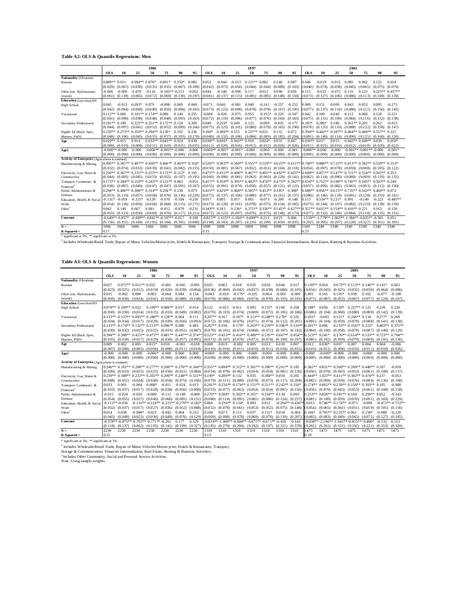#### **Table A2: OLS & Quantile Regressions: Men**

|                                                 | 1986             |                     |           |                                                            |                               |          |          |                     |                     | 1997                |                                                         |           |          | 2003                                                                                                                                       |                  |                               |                     |                                                                     |                               |                     |                   |
|-------------------------------------------------|------------------|---------------------|-----------|------------------------------------------------------------|-------------------------------|----------|----------|---------------------|---------------------|---------------------|---------------------------------------------------------|-----------|----------|--------------------------------------------------------------------------------------------------------------------------------------------|------------------|-------------------------------|---------------------|---------------------------------------------------------------------|-------------------------------|---------------------|-------------------|
|                                                 | <b>OLS</b>       | 10                  | 25        | 50                                                         | 75                            | 90       | 95       | <b>OLS</b>          | 10                  | 25                  | 50                                                      | 75        | 90       | 95                                                                                                                                         | <b>OLS</b>       | 10                            | 25                  | 50                                                                  | 75                            | 90                  | 95                |
| Nationality (Ukrainian                          |                  |                     |           |                                                            |                               |          |          |                     |                     |                     |                                                         |           |          |                                                                                                                                            |                  |                               |                     |                                                                     |                               |                     |                   |
| Russian                                         | 0.089** 0.011    |                     |           | $0.094**0.076*$                                            | $0.091*$                      | $0.150*$ | 0.085    | 0.052               | $-0.044$            | $-0.013$            | $0.121**0.082$                                          |           | 0.146    | 0.087                                                                                                                                      | 0.046            | $-0.019$                      | $-0.015$            | 0.085                                                               | 0.092                         | 0.132               | 0.018             |
|                                                 | (0.029)          | (0.067)             | (0.030)   | (0.035)                                                    | (0.035)                       | (0.067)  | (0.109)  | (0.042)             | (0.073)             | (0.056)             | (0.044)                                                 | (0.044)   | (0.089)  | (0.103)                                                                                                                                    | 0.040            | (0.074)                       | (0.058)             | (0.045)                                                             | (0.065)                       | (0.075)             | (0.079)           |
| Other (inc. Byelorussian,                       | $-0.066$         | $-0.009$            | $-0.070$  | $-0.116$                                                   | $-0.181**-0.213$              |          | $-0.052$ | 0.044               | $-0.140$            | $-0.098$            | 0.117                                                   | 0.012     | 0.096    | 0.026                                                                                                                                      | 0.115            | $-0.022$                      | $-0.075$            | 0.131                                                               | 0.123                         |                     | $0.525**$ 0.437** |
| Jewish)                                         | (0.061)          | (0.139)             | (0.065)   | (0.072)                                                    | (0.069)                       | (0.130)  | (0.197)  | (0.081)             | (0.137)             | (0.115)             | (0.085)                                                 | (0.085)   | (0.148)  | (0.150)                                                                                                                                    | (0.073)          | (0.127)                       | (0.106)             | (0.086)                                                             | (0.113)                       | $(0.149)$ $(0.139)$ |                   |
| <b>Education</b> (Less than HS                  |                  |                     |           |                                                            |                               |          |          |                     |                     |                     |                                                         |           |          |                                                                                                                                            |                  |                               |                     |                                                                     |                               |                     |                   |
| High School                                     | 0.045            | $-0.013$            | $0.093*$  | 0.079                                                      | $-0.008$                      | 0.069    | 0.069    | $-0.075$            | 0.046               | $-0.081$            | 0.040                                                   | $-0.141$  | $-0.237$ | $-0.252$                                                                                                                                   | 0.009            | 0.151                         | 0.009               | 0.043                                                               | 0.053                         | 0.095               | $-0.273$          |
|                                                 | (0.042)          | (0.094)             | (0.040)   | (0.049)                                                    | (0.050)                       | (0.094)  | (0.165)  | (0.073)             | (0.123)             | (0.098)             | (0.078)                                                 | (0.078)   | (0.167)  | (0.195)                                                                                                                                    | (0.077)          | (0.137)                       | (0.110)             | (0.086)                                                             | (0.121)                       | (0.156)             | (0.145)           |
| Vocational                                      | $0.112**0.060$   |                     |           | $0.101**0.174**0.089$                                      |                               | 0.149    | 0.255    | $-0.088$            | $-0.026$            | $-0.075$            | 0.055                                                   | $-0.155*$ | $-0.220$ | $-0.347$                                                                                                                                   | 0.042            | 0.180                         | 0.040               | 0.112                                                               | 0.068                         | 0.128               | $-0.221$          |
|                                                 | (0.041)          | (0.090)             |           | $(0.038)$ $(0.048)$                                        | (0.048)                       | (0.093)  | (0.163)  | (0.072)             | (0.119)             | (0.096)             | (0.077)                                                 | (0.076)   | (0.160)  | (0.183)                                                                                                                                    | 0.075            | (0.131)                       | (0.106)             | (0.084)                                                             | (0.116)                       | (0.152)             | (0.138)           |
| Secondary Professional                          | $0.191**0.189$   |                     |           | $0.225**0.251**0.172**0.128$                               |                               |          | 0.209    | 0.049               | $0.259*$            | 0.049               | 0.125                                                   | $-0.098$  | $-0.035$ | $-0.177$                                                                                                                                   | $0.183*$         | $0.286*$                      | 0.186               | $0.261**0.205$                                                      |                               | 0.262               | $-0.015$          |
|                                                 | (0.044)          | (0.097)             |           | $(0.041)$ $(0.052)$ $(0.052)$                              |                               | (0.099)  | (0.166)  | (0.075)             | (0.125)             | (0.101)             | (0.080)                                                 | (0.079)   | (0.165)  | (0.190)                                                                                                                                    | (0.078)          | (0.135)                       |                     | $(0.110)$ $(0.088)$ $(0.122)$                                       |                               | (0.158)             | (0.147)           |
| Higher Ed (Bach, Spec,                          |                  |                     |           | $0.239**$ $0.273**$ $0.350**$ $0.294**$ $0.139*$           |                               | 0.192    | 0.236    | $0.160*$            | $0.380**$           | 0.155               | $0.237**$                                               | 0.031     | 0.132    | 0.072                                                                                                                                      |                  |                               |                     | $0.394**$ $0.442**$ $0.387**$ $0.464**$ $0.460**$ $0.557**$ $0.221$ |                               |                     |                   |
| Masters, PhD)                                   | (0.048)          | (0.106)             | (0.045)   | (0.055)                                                    | (0.057)                       | (0.103)  | (0.170)  | (0.080)             | (0.132)             | (0.106)             | (0.084)                                                 | (0.083)   | (0.182)  | (0.204)                                                                                                                                    | $0.081$ )        | (0.140)                       |                     | $(0.114)$ $(0.090)$                                                 | $(0.125)$ $(0.160)$           |                     | (0.150)           |
| A ge                                            | $0.029**0.015$   |                     | 0.014     |                                                            | $0.033**0.043**0.024$         |          | 0.039    | $0.038**0.046*$     |                     | $0.042**0.018$      |                                                         | $0.024*$  | 0.031    | 0.047                                                                                                                                      | $0.036**0.017$   |                               | 0.015               |                                                                     | $0.042**0.049**0.039$         |                     | $0.050*$          |
|                                                 | (0.009)          | (0.019)             | (0.009)   |                                                            | $(0.011)$ $(0.010)$           | (0.021)  | (0.035)  | $(0.011)$ $(0.020)$ |                     | (0.016)             | (0.012)                                                 | (0.012)   | (0.026)  | (0.026)                                                                                                                                    | 0.011            | (0.021)                       | (0.016)             |                                                                     | $(0.012)$ $(0.018)$ $(0.020)$ |                     | (0.022)           |
| Age2                                            | $-0.000**-0.000$ |                     | $-0.000$  |                                                            | $-0.000** -0.001** -0.000$    |          | $-0.000$ |                     | $-0.000**-0.001*$   | $-0.001*$           | $-0.000$                                                | $-0.000$  | $-0.000$ | $-0.001$                                                                                                                                   | $-0.000**-0.000$ |                               | $-0.000$            |                                                                     | $-0.001**-0.001**-0.000$      |                     | $-0.001*$         |
|                                                 |                  | $(0.000)$ $(0.000)$ | (0.000)   |                                                            | $(0.000)$ $(0.000)$ $(0.000)$ |          | (0.000)  |                     | $(0.000)$ $(0.000)$ | $(0.000)$ $(0.000)$ |                                                         | (0.000)   | (0.000)  | (0.000)                                                                                                                                    | (0.000)          | (0.000)                       | (0.000)             | $(0.000)$ $(0.000)$ $(0.000)$                                       |                               |                     | (0.000)           |
| Activity of Enterprise (Agriculture is omitted) |                  |                     |           |                                                            |                               |          |          |                     |                     |                     |                                                         |           |          |                                                                                                                                            |                  |                               |                     |                                                                     |                               |                     |                   |
| Manufacturing & Mining                          |                  |                     |           | 0.395** 0.367** 0.407** 0.430** 0.466** 0.403** 0.354*     |                               |          |          |                     |                     |                     |                                                         |           |          | $0.520**$ $0.382**$ $0.560**$ $0.555**$ $0.510**$ $0.625**$ $0.611**$ $0.740**$ $0.886**$ $0.725**$ $0.813**$ $0.582**$ $0.550**$ $0.313*$ |                  |                               |                     |                                                                     |                               |                     |                   |
|                                                 | (0.032)          | (0.074)             | (0.033)   | (0.039)                                                    | $(0.041)$ $(0.082)$           |          | (0.155)  |                     | $(0.050)$ $(0.081)$ | (0.067)             | (0.052)                                                 | (0.051)   | (0.104)  | (0.118)                                                                                                                                    | $0.054$ )        | (0.097)                       |                     | $(0.078)$ $(0.059)$                                                 | (0.088)                       | (0.105)             | (0.122)           |
| Electricity, Gas, Water &                       |                  |                     |           | $0.250**$ $0.367**$ $0.235**$ $0.255**$ $0.172**$ $0.212*$ |                               |          | 0.195    |                     |                     |                     | 0.475** 0.435** 0.468** 0.467** 0.491** 0.492** 0.425** |           |          |                                                                                                                                            |                  |                               |                     | $0.649**$ $0.857**$ $0.547**$ $0.721**$ $0.554**$ $0.592**$ $0.253$ |                               |                     |                   |
| Construction                                    | (0.044)          |                     |           | $(0.095)$ $(0.045)$ $(0.053)$ $(0.055)$ $(0.107)$          |                               |          | (0.195)  |                     | $(0.060)$ $(0.099)$ | $(0.081)$ $(0.063)$ |                                                         | (0.063)   | (0.129)  | (0.141)                                                                                                                                    | (0.062)          |                               |                     | $(0.114)$ $(0.090)$ $(0.069)$ $(0.099)$ $(0.118)$                   |                               |                     | (0.132)           |
| Transport, Communic. &                          |                  |                     |           | $0.173**$ $0.284**$ $0.210**$ $0.243**$ $0.123**$ $0.063$  |                               |          | $-0.053$ |                     |                     |                     |                                                         |           |          | $0.417**$ $0.358**$ $0.395**$ $0.482**$ $0.476**$ $0.475**$ $0.392**$ $0.654**$ $0.752**$ $0.598**$ $0.745**$ $0.545**$ $0.503**$ $0.249$  |                  |                               |                     |                                                                     |                               |                     |                   |
| Financial <sup>1</sup>                          | (0.038)          |                     |           | $(0.087)$ $(0.040)$ $(0.047)$ $(0.047)$                    |                               | (0.091)  | (0.167)  |                     | $(0.055)$ $(0.091)$ | $(0.074)$ $(0.058)$ |                                                         | (0.057)   | (0.121)  | (0.123)                                                                                                                                    |                  | $(0.057)$ $(0.099)$           | $(0.082)$ $(0.063)$ |                                                                     | $(0.093)$ $(0.112)$           |                     | (0.130)           |
| Public Administration &                         |                  |                     |           | $0.294**0.400**0.308**0.314**0.294**0.238$                 |                               |          | 0.073    |                     | $0.415**0.429**$    |                     | $0.468**0.505**0.453**0.395*$                           |           |          | $0.308*$                                                                                                                                   |                  |                               |                     | $0.688**$ 0.956** 0.615** 0.735** 0.543** 0.460** 0.072             |                               |                     |                   |
| Defense                                         | (0.053)          | (0.119)             | (0.057)   | (0.068)                                                    | (0.070)                       | (0.136)  | (0.220)  | (0.075)             | (0.137)             | (0.106)             | (0.080)                                                 | (0.077)   | (0.161)  | (0.137)                                                                                                                                    | (0.080)          |                               |                     | $(0.146)$ $(0.118)$ $(0.091)$ $(0.128)$                             |                               | (0.153)             | (0.161)           |
| Education, Health, & Social                     | $-0.131*$        | $-0.059$            | $-0.131*$ | $-0.128$                                                   | $-0.070$                      | $-0.184$ | $-0.256$ | 0.017               | 0.085               | 0.057               | 0.061                                                   | $-0.073$  | $-0.209$ | $-0.148$                                                                                                                                   | 0.113            | $0.534**0.221*$               |                     | 0.091                                                               | $-0.149$                      | $-0.223$            | $-0.483**$        |
| Work                                            | (0.054)          | (0.136)             | (0.056)   | (0.066)                                                    | (0.068)                       | (0.115)  | (0.171)  | (0.073)             | (0.128)             | (0.101)             | (0.078)                                                 | (0.075)   | (0.154)  | (0.185)                                                                                                                                    | (0.073)          | $(0.144)$ $(0.107)$ $(0.082)$ |                     |                                                                     | (0.120)                       | (0.139)             | (0.159)           |
| Other <sup>2</sup>                              | 0.042            | 0.149               | 0.067     | 0.081                                                      | $-0.012$                      | $-0.079$ | $-0.231$ | $0.343**0.183$      |                     | $0.236*$            | $0.371**0.336**0.545**0.627**$                          |           |          |                                                                                                                                            |                  |                               |                     | $0.357**$ 0.615** 0.354** 0.416** 0.221                             |                               | 0.163               | $-0.150$          |
|                                                 | (0.055)          | (0.123)             | (0.056)   | (0.069)                                                    | (0.070)                       | (0.117)  | (0.211)  | (0.072)             | (0.123)             | (0.097)             | (0.076)                                                 | (0.073)   | (0.148)  | (0.173)                                                                                                                                    | (0.077)          |                               |                     | $(0.132)$ $(0.106)$ $(0.084)$                                       | (0.118)                       | (0.135)             | (0.151)           |
| Constant                                        |                  | $-0.649**-0.857*$   |           | $-0.699**-0.841**-0.597**-0.017$                           |                               |          | $-0.109$ |                     |                     |                     | $-0.825**-1.615**-1.184**-0.699**-0.211$                |           | 0.025    | 0.066                                                                                                                                      |                  |                               |                     | -1.159** -1.779** -1.063** -1.384** -0.935** -0.565                 |                               |                     | 0.051             |
|                                                 | (0.150)          | (0.351)             | (0.169)   | (0.195)                                                    | (0.184)                       | (0.391)  | (0.690)  | (0.198)             | (0.343)             | (0.287)             | (0.210)                                                 | (0.209)   | (0.450)  | (0.435)                                                                                                                                    | (0.202)          | (0.395)                       | (0.297)             | (0.228)                                                             | (0.327)                       | (0.351)             | (0.391)           |
| $N =$                                           | 1666             | 1666                | 1666      | 1666                                                       | 1666                          | 1666     | 1666     | 1098                | 1098                | 1098                | 1098                                                    | 1098      | 1098     | 1098                                                                                                                                       | 1340             | 1340                          | 1340                | 1340                                                                | 1340                          | 1340                | 1340              |
| $R-Squared =$                                   | 0.17             |                     |           |                                                            |                               |          |          | 0.15                |                     |                     |                                                         |           |          |                                                                                                                                            | 0.23             |                               |                     |                                                                     |                               |                     |                   |

R-Squared =  $\frac{0.15}{0.23}$ <br>\* significant at 1%. \*\* significant at 1%.<br><sup>4</sup> Includes Wholesale/Retail Trade, Repair of Motor Vehicles/Motorcycles; Hotels & Restaurants; Transport, Storage & Communication; Financial Interme

#### **Table A3: OLS & Quantile Regressions: Women**

|                                                 | 1986                |                         |                       |                                                                       |                       |                     | 1997                                                                                                                                        |                     |                     |                     |                                                                       |                               |                               | 2003                           |                     |                              |                           |                                                   |                                                   |                     |                    |
|-------------------------------------------------|---------------------|-------------------------|-----------------------|-----------------------------------------------------------------------|-----------------------|---------------------|---------------------------------------------------------------------------------------------------------------------------------------------|---------------------|---------------------|---------------------|-----------------------------------------------------------------------|-------------------------------|-------------------------------|--------------------------------|---------------------|------------------------------|---------------------------|---------------------------------------------------|---------------------------------------------------|---------------------|--------------------|
|                                                 | <b>OLS</b>          | 10                      | 25                    | 50                                                                    | 75                    | 90                  | 95                                                                                                                                          | <b>OLS</b>          | 10                  | 25                  | 50                                                                    | 75                            | 90                            | 95                             | <b>OLS</b>          | 10                           | 25                        | 50                                                | 75                                                | 90                  | 95                 |
| Nationality (Ukrainian                          |                     |                         |                       |                                                                       |                       |                     |                                                                                                                                             |                     |                     |                     |                                                                       |                               |                               |                                |                     |                              |                           |                                                   |                                                   |                     |                    |
| Russian                                         | 0.027               |                         | $0.072**0.051**0.025$ |                                                                       | $-0.001$              | $-0.045$            | $-0.091$                                                                                                                                    | 0.025               | 0.002               | 0.018               | 0.035                                                                 | 0.018                         | 0.046                         | 0.017                          | $0.130**0.054$      |                              |                           |                                                   | $0.075**0.113**0.146**0.141*$                     |                     | 0.063              |
|                                                 | (0.023)             | (0.025)                 | (0.012)               | (0.019)                                                               | (0.026)               | (0.039)             | (0.064)                                                                                                                                     | (0.036)             | (0.060)             | (0.042)             | (0.037)                                                               | (0.038)                       | (0.060)                       | (0.105)                        | (0.034)             | (0.045)                      | (0.025)                   | (0.032)                                           | (0.036)                                           | (0.064)             | (0.096)            |
| Other (inc. Byelorussian,                       | 0.015               | $-0.002$                | 0.000                 | $-0.003$                                                              | $-0.064$              | 0.084               | 0.134                                                                                                                                       | $-0.083$            | $-0.024$            | $-0.179*$           | $-0.105$                                                              | $-0.064$                      | $-0.001$                      | $-0.000$                       | 0.001               | 0.165                        | $0.105*$                  | 0.038                                             | 0.102                                             | $-0.077$            | $-0.108$           |
| Jewish)                                         | (0.050)             | (0.050)                 | (0.024)               | (0.041)                                                               | (0.058)               | (0.080)             | (0.148)                                                                                                                                     | (0.070)             | (0.086)             | (0.084)             | (0.074)                                                               | (0.070)                       | (0.103)                       | (0.191)                        | (0.073)             | (0.087)                      | (0.052)                   | (0.067)                                           | (0.077)                                           | (0.124)             | (0.167)            |
| <b>Education</b> (Less than HS                  |                     |                         |                       |                                                                       |                       |                     |                                                                                                                                             |                     |                     |                     |                                                                       |                               |                               |                                |                     |                              |                           |                                                   |                                                   |                     |                    |
| <b>High School</b>                              |                     | $0.078**$ 0.109** 0.022 |                       |                                                                       | $0.109**0.088**0.017$ |                     | 0.014                                                                                                                                       | 0.122               | $-0.015$            | 0.011               | 0.092                                                                 | $0.155*$                      | 0.160                         | 0.268                          | $0.188*$            | 0.050                        | $0.120*$                  | $0.227**0.125$                                    |                                                   | 0.239               | 0.220              |
|                                                 | (0.030)             | $(0.030)$ $(0.014)$     |                       | (0.025)                                                               | $(0.033)$ $(0.049)$   |                     | (0.082)                                                                                                                                     | (0.070)             | (0.103)             | (0.074)             | (0.069)                                                               | (0.072)                       | (0.105)                       | (0.186)                        | (0.086)             | (0.104)                      | (0.060)                   | $(0.080)$ $(0.089)$                               |                                                   | (0.142)             | (0.139)            |
| Vocational                                      |                     |                         |                       | $0.133**0.133**0.093**0.188**0.128**0.064$                            |                       |                     | 0.111                                                                                                                                       | $0.207**$           | 0.167               | $0.187*$            | $0.213**$                                                             | $0.248**0.278*$               |                               | 0.335                          | $0.201*$            | $-0.002$                     | $0.121*$                  | $0.246**0.134$                                    |                                                   | $0.277*$            | 0.269              |
|                                                 |                     |                         |                       | $(0.034)$ $(0.034)$ $(0.017)$ $(0.029)$ $(0.039)$ $(0.056)$           |                       |                     | (0.093)                                                                                                                                     | (0.072)             | (0.106)             | (0.076)             | (0.071)                                                               | $(0.074)$ $(0.112)$ $(0.201)$ |                               |                                | (0.085)             | (0.104)                      | (0.059)                   | $(0.079)$ $(0.088)$                               |                                                   | $(0.141)$ $(0.138)$ |                    |
| Secondary Professional                          |                     |                         |                       | $0.133**$ 0.174** 0.132** 0.213** 0.096** 0.080                       |                       |                     | 0.083                                                                                                                                       | $0.267**0.196$      |                     | $0.179*$            |                                                                       |                               |                               | $0.263**0.259**0.396**0.510**$ | $0.281**0.096$      |                              |                           | $0.153**0.316**0.222*$                            |                                                   |                     | $0.403**0.375**$   |
|                                                 |                     |                         |                       | $(0.030)$ $(0.032)$ $(0.015)$ $(0.025)$ $(0.033)$ $(0.051)$ $(0.087)$ |                       |                     |                                                                                                                                             |                     |                     |                     | $(0.070)$ $(0.101)$ $(0.074)$ $(0.068)$ $(0.071)$ $(0.107)$ $(0.192)$ |                               |                               |                                |                     | $(0.084)$ $(0.100)$          |                           | $(0.058)$ $(0.078)$ $(0.087)$                     |                                                   | $(0.140)$ $(0.129)$ |                    |
| Higher Ed (Bach, Spec,                          |                     |                         |                       |                                                                       |                       |                     | $0.394**$ $0.398**$ $0.415**$ $0.473**$ $0.481**$ $0.447**$ $0.374**$ $0.523**$ $0.433**$ $0.416**$ $0.489**$ $0.535**$ $0.667**$ $0.854**$ |                     |                     |                     |                                                                       |                               |                               |                                | $0.523**0.241*$     |                              |                           |                                                   | $0.376**0.614**0.533**$                           | $0.723**0.794**$    |                    |
| Masters, PhD)                                   | (0.035)             | $(0.038)$ $(0.017)$     |                       | (0.029)                                                               | (0.038)               | (0.057)             | (0.095)                                                                                                                                     | (0.073)             | (0.107)             | (0.078)             | (0.072)                                                               | (0.074)                       | (0.109)                       | (0.197)                        | (0.085)             | (0.102)                      | (0.059)                   | (0.079)                                           | (0.089)                                           | (0.141)             | (0.136)            |
| Age                                             | 0.009               | 0.002                   | 0.005                 | $0.015*$                                                              | 0.010                 | $-0.001$            | $-0.018$                                                                                                                                    | 0.008               | 0.010               | $-0.002$            | 0.005                                                                 | 0.013                         | 0.018                         | 0.007                          | 0.012               | $0.030*$                     | 0.007                     | 0.007                                             | 0.004                                             | 0.004               | $-0.006$           |
|                                                 | (0.007)<br>$-0.000$ | (0.008)<br>$-0.000$     | (0.003)<br>$-0.000$   | (0.006)<br>$-0.000*$                                                  | (0.008)<br>$-0.000$   | (0.011)<br>0.000    | (0.019)<br>0.000                                                                                                                            | (0.010)<br>$-0.000$ | (0.016)<br>$-0.000$ | (0.011)<br>0.000    | (0.010)<br>$-0.000$                                                   | (0.011)<br>$-0.000$           | (0.018)<br>$-0.000$           | (0.031)<br>0.000               | (0.010)<br>$-0.000$ | (0.012)<br>$-0.000*$         | (0.008)<br>$-0.000$       | (0.010)<br>-0.000                                 | (0.011)<br>$-0.000$                               | (0.018)<br>$-0.000$ | (0.026)<br>0.000   |
| Age2                                            |                     |                         |                       |                                                                       |                       |                     |                                                                                                                                             |                     |                     |                     |                                                                       |                               |                               |                                |                     |                              |                           |                                                   |                                                   |                     |                    |
| Activity of Enterprise (Agriculture is omitted) | (0.000)             | (0.000)                 | (0.000)               | (0.000)                                                               | (0.000)               | (0.000)             | (0.000)                                                                                                                                     | (0.000)             | (0.000)             | (0.000)             | (0.000)                                                               | (0.000)                       | (0.000)                       | (0.000)                        | (0.000)             | (0.000)                      | (0.000)                   | (0.000)                                           | (0.000)                                           | (0.000)             | (0.000)            |
|                                                 |                     |                         |                       |                                                                       |                       |                     | $0.246**$ $0.181**$ $0.208**$ $0.277**$ $0.208**$ $0.270**$ $0.344**$ $0.355**$ $0.498**$ $0.312**$ $0.301**$ $0.390**$ $0.261**$ $0.185$   |                     |                     |                     |                                                                       |                               |                               |                                |                     |                              |                           |                                                   | $0.362**0.831**0.360**0.269**0.440**0.187$        |                     | $-0.059$           |
| Manufacturing & Mining                          |                     |                         |                       | $(0.030)$ $(0.033)$ $(0.015)$ $(0.025)$ $(0.034)$ $(0.051)$ $(0.084)$ |                       |                     |                                                                                                                                             | (0.054)             | (0.078)             | (0.062)             | (0.054)                                                               |                               | $(0.054)$ $(0.081)$ $(0.156)$ |                                | (0.056)             |                              |                           |                                                   | $(0.070)$ $(0.043)$ $(0.053)$ $(0.061)$ $(0.108)$ |                     | (0.157)            |
|                                                 |                     |                         |                       |                                                                       |                       |                     | $0.239**$ $0.188**$ $0.233**$ $0.202**$ $0.209**$ $0.248**$ $0.321**$ $0.199*$                                                              |                     | $0.289**0.132$      |                     | 0.035                                                                 | $0.384**0.059$                |                               | 0.205                          | $0.444**$           |                              |                           |                                                   | $1.023**0.411**0.382**0.474**0.237$               |                     | $-0.053$           |
| Electricity, Gas, Water &<br>Construction       | (0.048)             | (0.051)                 | (0.024)               | (0.040)                                                               | (0.054)               | (0.075)             | (0.106)                                                                                                                                     | (0.079)             |                     | $(0.111)$ $(0.089)$ | (0.078)                                                               |                               | $(0.075)$ $(0.117)$ $(0.204)$ |                                | $0.082$ )           | (0.099)                      |                           |                                                   | $(0.059)$ $(0.076)$ $(0.084)$ $(0.136)$           |                     | (0.168)            |
| Transport, Communic. &                          | 0.033               | 0.001                   | $-0.004$              | $0.068*$                                                              | $-0.011$              | $-0.024$            | 0.013                                                                                                                                       |                     |                     |                     | $0.241**$ $0.236**$ $0.174**$ $0.151**$ $0.311**$ $0.242**$ $0.316*$  |                               |                               |                                |                     |                              |                           |                                                   | 0.274** 0.665** 0.230** 0.156** 0.393** 0.185     |                     | $-0.080$           |
| Financial                                       | (0.033)             | (0.037)                 | (0.017)               | (0.028)                                                               | (0.038)               | (0.056)             | (0.090)                                                                                                                                     | (0.053)             | (0.077)             | (0.063)             | (0.054)                                                               | (0.054)                       | (0.081)                       | (0.156)                        | $0.056$ )           | (0.070)                      |                           | $(0.043)$ $(0.053)$                               | (0.061)                                           | (0.108)             | (0.158)            |
| Public Administration &                         | $-0.015$            | $-0.024$                | -0.050                | $-0.000$                                                              | $-0.111$              | $-0.149$            | $-0.009$                                                                                                                                    | $0.276**0.288*$     |                     | $0.302**0.161*$     |                                                                       | $0.334**0.134$                |                               | 0.093                          |                     | $0.253**0.828**0.301**0.104$ |                           |                                                   | $0.299**0.052$                                    |                     | $-0.343$           |
| Defense                                         | (0.054)             | (0.055)                 | (0.027)               | (0.046)                                                               | (0.060)               | $(0.085)$ $(0.131)$ |                                                                                                                                             | (0.080)             | (0.114)             | (0.091)             | (0.081)                                                               | (0.086)                       | $(0.124)$ $(0.237)$           |                                | (0.081)             | (0.100)                      | $(0.059)$ $(0.076)$       |                                                   | (0.091)                                           | (0.169)             | (0.229)            |
| Education, Health, & Social                     | $-0.112**-0.036$    |                         |                       | $-0.116***-0.124***-0.215**-0.270**-0.182*$                           |                       |                     |                                                                                                                                             | 0.064               | $0.336**0.134*$     |                     | 0.003                                                                 | 0.012                         | $-0.264**-0.436$              |                                | $-0.013$            |                              | $0.746**$ 0.174** -0.071  |                                                   | $-0.099$                                          |                     | $-0.472**-0.753**$ |
| Work                                            | (0.032)             | (0.037)                 | (0.017)               | (0.027)                                                               | (0.036)               | $(0.052)$ $(0.088)$ |                                                                                                                                             | (0.052)             | (0.078)             | (0.061)             | (0.053)                                                               | (0.052)                       | $(0.075)$ $(0.148)$           |                                | (0.054)             | (0.065)                      | $(0.041)$ $(0.051)$       |                                                   | (0.059)                                           | (0.105)             | (0.156)            |
| Other <sup>2</sup>                              | 0.014               | 0.038                   | $-0.046*$             | $-0.023$                                                              | $-0.042$              | 0.064               | 0.253                                                                                                                                       | 0.104               | 0.073               | 0.111               | 0.037                                                                 | $0.151*$                      | 0.018                         | $-0.064$                       | $0.166*$            |                              | $0.795**$ $0.225**$ 0.061 |                                                   | $0.158*$                                          | $-0.088$            | $-0.220$           |
|                                                 | (0.043)             | (0.049)                 | (0.023)               | (0.036)                                                               | (0.049)               | (0.076)             | (0.129)                                                                                                                                     | (0.069)             | (0.098)             | (0.078)             | (0.069)                                                               | (0.070)                       | (0.110)                       | (0.207)                        | (0.065)             | (0.083)                      | (0.049)                   | (0.063)                                           | (0.072)                                           | (0.127)             | (0.185)            |
| Constant                                        |                     |                         |                       | $-0.578**-0.875**-0.702**-0.771**-0.261$                              |                       | 0.177               | 0.529                                                                                                                                       |                     |                     |                     | $-0.834** -1.408** -0.804** -0.671** -0.671** -0.459$                 |                               |                               | $-0.143$                       |                     |                              |                           | $-0.938** - 2.106** - 1.041** - 0.815** - 0.496*$ |                                                   | $-0.132$            | 0.513              |
|                                                 | (0.118)             | (0.137)                 | (0.062)               | (0.105)                                                               | (0.141)               | (0.199)             | (0.327)                                                                                                                                     | (0.185)             | (0.279)             | (0.204)             | (0.192)                                                               | (0.197)                       | (0.321)                       | (0.578)                        | (0.202)             | (0.261)                      | (0.151)                   | (0.192)                                           | (0.221)                                           | (0.353)             | (0.520)            |
| $N =$                                           | 2230                | 2230                    | 2230                  | 2230                                                                  | 2230                  | 2230                | 2230                                                                                                                                        | 1310                | 1310                | 1310                | 1310                                                                  | 1310                          | 1310                          | 1310                           | 1475                | 1475                         | 1475                      | 1475                                              | 1475                                              | 1475                | 1475               |
| $R-Squared =$                                   | 0.15                |                         |                       |                                                                       |                       |                     |                                                                                                                                             | 0.13                |                     |                     |                                                                       |                               |                               |                                | 0.19                |                              |                           |                                                   |                                                   |                     |                    |
| * significant at 5%: ** significant at 1%       |                     |                         |                       |                                                                       |                       |                     |                                                                                                                                             |                     |                     |                     |                                                                       |                               |                               |                                |                     |                              |                           |                                                   |                                                   |                     |                    |

<sup>1</sup> Includes Wholesale/Retail Trade, Repair of Motor Vehicles/Motorcycles; Hotels & Restaurants; Transport,<br>Storage & Communication; Financial Intermediation, Real Estate, Renting & Business Activities.

<sup>2</sup> Includes Other Community, Social and Personal Service Activities.<br>Note: Using sample weights.